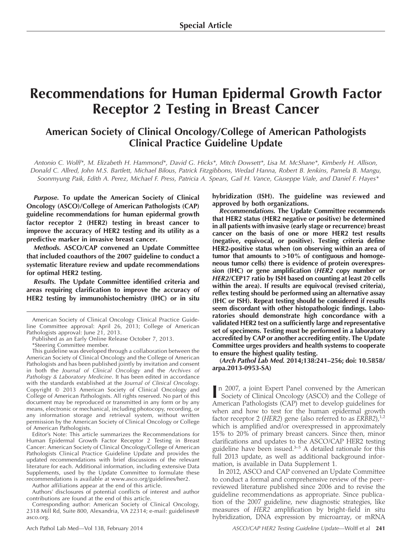# Recommendations for Human Epidermal Growth Factor Receptor 2 Testing in Breast Cancer

# American Society of Clinical Oncology/College of American Pathologists Clinical Practice Guideline Update

Antonio C. Wolff\*, M. Elizabeth H. Hammond\*, David G. Hicks\*, Mitch Dowsett\*, Lisa M. McShane\*, Kimberly H. Allison, Donald C. Allred, John M.S. Bartlett, Michael Bilous, Patrick Fitzgibbons, Wedad Hanna, Robert B. Jenkins, Pamela B. Mangu, Soonmyung Paik, Edith A. Perez, Michael F. Press, Patricia A. Spears, Gail H. Vance, Giuseppe Viale, and Daniel F. Hayes\*

Purpose. To update the American Society of Clinical Oncology (ASCO)/College of American Pathologists (CAP) guideline recommendations for human epidermal growth factor receptor 2 (HER2) testing in breast cancer to improve the accuracy of HER2 testing and its utility as a predictive marker in invasive breast cancer.

Methods. ASCO/CAP convened an Update Committee that included coauthors of the 2007 guideline to conduct a systematic literature review and update recommendations for optimal HER2 testing.

Results. The Update Committee identified criteria and areas requiring clarification to improve the accuracy of HER2 testing by immunohistochemistry (IHC) or in situ

\*Steering Committee member.

This guideline was developed through a collaboration between the American Society of Clinical Oncology and the College of American Pathologists and has been published jointly by invitation and consent in both the Journal of Clinical Oncology and the Archives of Pathology & Laboratory Medicine. It has been edited in accordance with the standards established at the Journal of Clinical Oncology. Copyright © 2013 American Society of Clinical Oncology and College of American Pathologists. All rights reserved. No part of this document may be reproduced or transmitted in any form or by any means, electronic or mechanical, including photocopy, recording, or any information storage and retrieval system, without written permission by the American Society of Clinical Oncology or College of American Pathologists.

Editor's Note: This article summarizes the Recommendations for Human Epidermal Growth Factor Receptor 2 Testing in Breast Cancer: American Society of Clinical Oncology/College of American Pathologists Clinical Practice Guideline Update and provides the updated recommendations with brief discussions of the relevant literature for each. Additional information, including extensive Data Supplements, used by the Update Committee to formulate these recommendations is available at www.asco.org/guidelines/her2.

Author affiliations appear at the end of this article.

Authors' disclosures of potential conflicts of interest and author contributions are found at the end of this article.

Corresponding author: American Society of Clinical Oncology, 2318 Mill Rd, Suite 800, Alexandria, VA 22314; e-mail: guidelines@ asco.org.

hybridization (ISH). The guideline was reviewed and approved by both organizations.

Recommendations. The Update Committee recommends that HER2 status (HER2 negative or positive) be determined in all patients with invasive (early stage or recurrence) breast cancer on the basis of one or more HER2 test results (negative, equivocal, or positive). Testing criteria define HER2-positive status when (on observing within an area of tumor that amounts to >10% of contiguous and homogeneous tumor cells) there is evidence of protein overexpression (IHC) or gene amplification (HER2 copy number or HER2/CEP17 ratio by ISH based on counting at least 20 cells within the area). If results are equivocal (revised criteria), reflex testing should be performed using an alternative assay (IHC or ISH). Repeat testing should be considered if results seem discordant with other histopathologic findings. Laboratories should demonstrate high concordance with a validated HER2 test on a sufficiently large and representative set of specimens. Testing must be performed in a laboratory accredited by CAP or another accrediting entity. The Update Committee urges providers and health systems to cooperate to ensure the highest quality testing.

(Arch Pathol Lab Med. 2014;138:241–256; doi: 10.5858/ arpa.2013-0953-SA)

In 2007, a joint Expert Panel convened by the American<br>Society of Clinical Oncology (ASCO) and the College of Society of Clinical Oncology (ASCO) and the College of American Pathologists (CAP) met to develop guidelines for when and how to test for the human epidermal growth factor receptor 2 (HER2) gene (also referred to as  $ER\overline{B}B2$ ),<sup>1,2</sup> which is amplified and/or overexpressed in approximately 15% to 20% of primary breast cancers. Since then, minor clarifications and updates to the ASCO/CAP HER2 testing guideline have been issued.3–5 A detailed rationale for this full 2013 update, as well as additional background information, is available in Data Supplement 1.

In 2012, ASCO and CAP convened an Update Committee to conduct a formal and comprehensive review of the peerreviewed literature published since 2006 and to revise the guideline recommendations as appropriate. Since publication of the 2007 guideline, new diagnostic strategies, like measures of HER2 amplification by bright-field in situ hybridization, DNA expression by microarray, or mRNA

American Society of Clinical Oncology Clinical Practice Guideline Committee approval: April 26, 2013; College of American Pathologists approval: June 21, 2013.

Published as an Early Online Release October 7, 2013.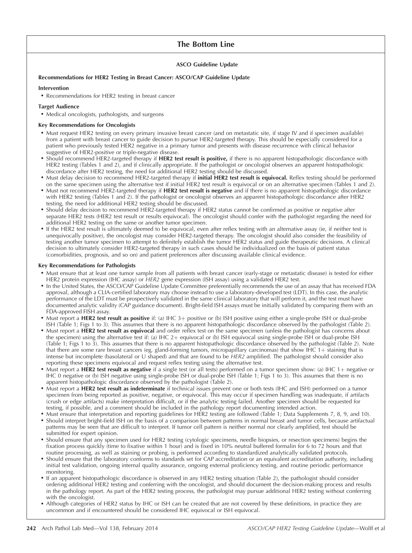# The Bottom Line

#### ASCO Guideline Update

#### Recommendations for HER2 Testing in Breast Cancer: ASCO/CAP Guideline Update

#### Intervention

• Recommendations for HER2 testing in breast cancer

#### Target Audience

- Medical oncologists, pathologists, and surgeons

#### Key Recommendations for Oncologists

- Must request HER2 testing on every primary invasive breast cancer (and on metastatic site, if stage IV and if specimen available) from a patient with breast cancer to guide decision to pursue HER2-targeted therapy. This should be especially considered for a patient who previously tested HER2 negative in a primary tumor and presents with disease recurrence with clinical behavior suggestive of HER2-positive or triple-negative disease.
- -Should recommend HER2-targeted therapy if HER2 test result is positive, if there is no apparent histopathologic discordance with HER2 testing (Tables 1 and 2), and if clinically appropriate. If the pathologist or oncologist observes an apparent histopathologic discordance after HER2 testing, the need for additional HER2 testing should be discussed.
- Must delay decision to recommend HER2-targeted therapy if **initial HER2 test result is equivocal.** Reflex testing should be performed on the same specimen using the alternative test if initial HER2 test result is equivocal or on an alternative specimen (Tables 1 and 2).
- Must not recommend HER2-targeted therapy if **HER2 test result is negative** and if there is no apparent histopathologic discordance with HER2 testing (Tables 1 and 2). If the pathologist or oncologist observes an apparent histopathologic discordance after HER2 testing, the need for additional HER2 testing should be discussed.
- Should delay decision to recommend HER2-targeted therapy if HER2 status cannot be confirmed as positive or negative after separate HER2 tests (HER2 test result or results equivocal). The oncologist should confer with the pathologist regarding the need for additional HER2 testing on the same or another tumor specimen.
- - If the HER2 test result is ultimately deemed to be equivocal, even after reflex testing with an alternative assay (ie, if neither test is unequivocally positive), the oncologist may consider HER2-targeted therapy. The oncologist should also consider the feasibility of testing another tumor specimen to attempt to definitely establish the tumor HER2 status and guide therapeutic decisions. A clinical decision to ultimately consider HER2-targeted therapy in such cases should be individualized on the basis of patient status (comorbidities, prognosis, and so on) and patient preferences after discussing available clinical evidence.

#### Key Recommendations for Pathologists

- Must ensure that at least one tumor sample from all patients with breast cancer (early-stage or metastatic disease) is tested for either HER2 protein expression (IHC assay) or HER2 gene expression (ISH assay) using a validated HER2 test.
- In the United States, the ASCO/CAP Guideline Update Committee preferentially recommends the use of an assay that has received FDA approval, although a CLIA-certified laboratory may choose instead to use a laboratory-developed test (LDT). In this case, the analytic performance of the LDT must be prospectively validated in the same clinical laboratory that will perform it, and the test must have documented analytic validity (CAP guidance document). Bright-field ISH assays must be initially validated by comparing them with an FDA-approved FISH assay.
- Must report a HER2 test result as positive if: (a) IHC 3+ positive or (b) ISH positive using either a single-probe ISH or dual-probe ISH (Table 1; Figs 1 to 3). This assumes that there is no apparent histopathologic discordance observed by the pathologist (Table 2).
- Must report a HER2 test result as equivocal and order reflex test on the same specimen (unless the pathologist has concerns about the specimen) using the alternative test if: (a) IHC  $2+$  equivocal or (b) ISH equivocal using single-probe ISH or dual-probe ISH (Table 1; Figs 1 to 3). This assumes that there is no apparent histopathologic discordance observed by the pathologist (Table 2). Note that there are some rare breast cancers (eg, gland-forming tumors, micropapillary carcinomas) that show IHC  $1+$  staining that is intense but incomplete (basolateral or  $\cup$  shaped) and that are found to be  $HER2$  amplified. The pathologist should consider also reporting these specimens equivocal and request reflex testing using the alternative test.
- -Must report a HER2 test result as negative if a single test (or all tests) performed on a tumor specimen show: (a) IHC 1+ negative or IHC 0 negative or (b) ISH negative using single-probe ISH or dual-probe ISH (Table 1; Figs 1 to 3). This assumes that there is no apparent histopathologic discordance observed by the pathologist (Table 2).
- Must report a HER2 test result as indeterminate if technical issues prevent one or both tests (IHC and ISH) performed on a tumor specimen from being reported as positive, negative, or equivocal. This may occur if specimen handling was inadequate, if artifacts (crush or edge artifacts) make interpretation difficult, or if the analytic testing failed. Another specimen should be requested for testing, if possible, and a comment should be included in the pathology report documenting intended action.
- Must ensure that interpretation and reporting guidelines for HER2 testing are followed (Table 1; Data Supplements 7, 8, 9, and 10).
- - $\bullet$  Should interpret bright-field ISH on the basis of a comparison between patterns in normal breast and tumor cells, because artifactual patterns may be seen that are difficult to interpret. If tumor cell pattern is neither normal nor clearly amplified, test should be submitted for expert opinion.
- Should ensure that any specimen used for HER2 testing (cytologic specimens, needle biopsies, or resection specimens) begins the fixation process quickly (time to fixative within 1 hour) and is fixed in 10% neutral buffered formalin for 6 to 72 hours and that routine processing, as well as staining or probing, is performed according to standardized analytically validated protocols.
- Should ensure that the laboratory conforms to standards set for CAP accreditation or an equivalent accreditation authority, including initial test validation, ongoing internal quality assurance, ongoing external proficiency testing, and routine periodic performance monitoring.
- If an apparent histopathologic discordance is observed in any HER2 testing situation (Table 2), the pathologist should consider ordering additional HER2 testing and conferring with the oncologist, and should document the decision-making process and results in the pathology report. As part of the HER2 testing process, the pathologist may pursue additional HER2 testing without conferring with the oncologist.
- Although categories of HER2 status by IHC or ISH can be created that are not covered by these definitions, in practice they are uncommon and if encountered should be considered IHC equivocal or ISH equivocal.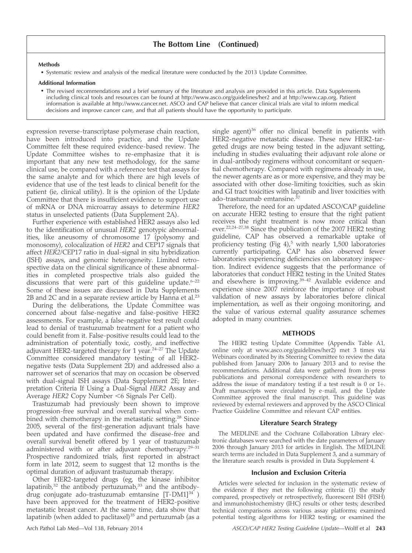# The Bottom Line (Continued)

#### Methods

- Systematic review and analysis of the medical literature were conducted by the 2013 Update Committee.

#### Additional Information

- The revised recommendations and a brief summary of the literature and analysis are provided in this article. Data Supplements including clinical tools and resources can be found at http://www.asco.org/guidelines/her2 and at http://www.cap.org. Patient information is available at http://www.cancer.net. ASCO and CAP believe that cancer clinical trials are vital to inform medical decisions and improve cancer care, and that all patients should have the opportunity to participate.

expression reverse-transcriptase polymerase chain reaction, have been introduced into practice, and the Update Committee felt these required evidence-based review. The Update Committee wishes to re-emphasize that it is important that any new test methodology, for the same clinical use, be compared with a reference test that assays for the same analyte and for which there are high levels of evidence that use of the test leads to clinical benefit for the patient (ie, clinical utility). It is the opinion of the Update Committee that there is insufficient evidence to support use of mRNA or DNA microarray assays to determine HER2 status in unselected patients (Data Supplement 2A).

Further experience with established HER2 assays also led to the identification of unusual HER2 genotypic abnormalities, like aneusomy of chromosome 17 (polysomy and monosomy), colocalization of HER2 and CEP17 signals that affect HER2/CEP17 ratio in dual-signal in situ hybridization (ISH) assays, and genomic heterogeneity. Limited retrospective data on the clinical significance of these abnormalities in completed prospective trials also guided the discussions that were part of this guideline update.<sup>6-22</sup> Some of these issues are discussed in Data Supplements  $2B$  and  $2C$  and in a separate review article by Hanna et al.<sup>23</sup>

During the deliberations, the Update Committee was concerned about false-negative and false-positive HER2 assessments. For example, a false-negative test result could lead to denial of trastuzumab treatment for a patient who could benefit from it. False-positive results could lead to the administration of potentially toxic, costly, and ineffective adjuvant HER2-targeted therapy for 1 year.<sup>24-27</sup> The Update Committee considered mandatory testing of all HER2 negative tests (Data Supplement 2D) and addressed also a narrower set of scenarios that may on occasion be observed with dual-signal ISH assays (Data Supplement 2E; Interpretation Criteria If Using a Dual-Signal HER2 Assay and Average HER2 Copy Number  $<6$  Signals Per Cell).

Trastuzumab had previously been shown to improve progression-free survival and overall survival when combined with chemotherapy in the metastatic setting.<sup>28</sup> Since 2005, several of the first-generation adjuvant trials have been updated and have confirmed the disease-free and overall survival benefit offered by 1 year of trastuzumab administered with or after adjuvant chemotherapy.29–31 Prospective randomized trials, first reported in abstract form in late 2012, seem to suggest that 12 months is the optimal duration of adjuvant trastuzumab therapy.

Other HER2-targeted drugs (eg, the kinase inhibitor lapatinib, $32$  the antibody pertuzumab, $33$  and the antibodydrug conjugate ado-trastuzumab emtansine  $[T-DM1]^{34}$ ) have been approved for the treatment of HER2-positive metastatic breast cancer. At the same time, data show that lapatinib (when added to paclitaxel) $35$  and pertuzumab (as a

single agent) $36$  offer no clinical benefit in patients with HER2-negative metastatic disease. These new HER2-targeted drugs are now being tested in the adjuvant setting, including in studies evaluating their adjuvant role alone or in dual-antibody regimens without concomitant or sequential chemotherapy. Compared with regimens already in use, the newer agents are as or more expensive, and they may be associated with other dose-limiting toxicities, such as skin and GI tract toxicities with lapatinib and liver toxicities with ado-trastuzumab emtansine.<sup>3</sup>

Therefore, the need for an updated ASCO/CAP guideline on accurate HER2 testing to ensure that the right patient receives the right treatment is now more critical than ever.22,24–27,38 Since the publication of the 2007 HER2 testing guideline, CAP has observed a remarkable uptake of proficiency testing (Fig 4), $5$  with nearly 1,500 laboratories currently participating. CAP has also observed fewer laboratories experiencing deficiencies on laboratory inspection. Indirect evidence suggests that the performance of laboratories that conduct HER2 testing in the United States and elsewhere is improving.<sup>39-42</sup> Available evidence and experience since 2007 reinforce the importance of robust validation of new assays by laboratories before clinical implementation, as well as their ongoing monitoring, and the value of various external quality assurance schemes adopted in many countries.

#### **METHODS**

The HER2 testing Update Committee (Appendix Table A1, online only at www.asco.org/guidelines/her2) met 3 times via Webinars coordinated by its Steering Committee to review the data published from January 2006 to January 2013 and to revise the recommendations. Additional data were gathered from in-press publications and personal correspondence with researchers to address the issue of mandatory testing if a test result is  $0$  or  $1+$ . Draft manuscripts were circulated by e-mail, and the Update Committee approved the final manuscript. This guideline was reviewed by external reviewers and approved by the ASCO Clinical Practice Guideline Committee and relevant CAP entities.

#### Literature Search Strategy

The MEDLINE and the Cochrane Collaboration Library electronic databases were searched with the date parameters of January 2006 through January 2013 for articles in English. The MEDLINE search terms are included in Data Supplement 3, and a summary of the literature search results is provided in Data Supplement 4.

#### Inclusion and Exclusion Criteria

Articles were selected for inclusion in the systematic review of the evidence if they met the following criteria: (1) the study compared, prospectively or retrospectively, fluorescent ISH (FISH) and immunohistochemistry (IHC) results or other tests; described technical comparisons across various assay platforms; examined potential testing algorithms for HER2 testing; or examined the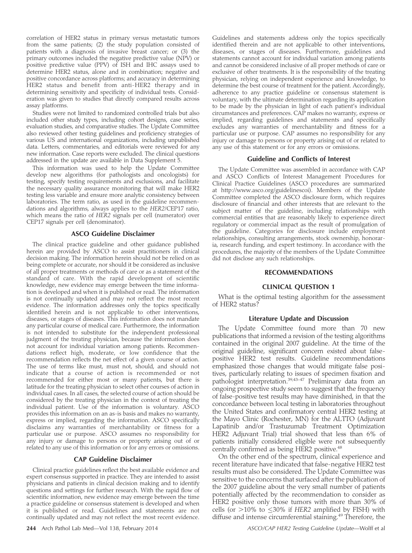correlation of HER2 status in primary versus metastatic tumors from the same patients; (2) the study population consisted of patients with a diagnosis of invasive breast cancer; or (3) the primary outcomes included the negative predictive value (NPV) or positive predictive value (PPV) of ISH and IHC assays used to determine HER2 status, alone and in combination; negative and positive concordance across platforms; and accuracy in determining HER2 status and benefit from anti-HER2 therapy and in determining sensitivity and specificity of individual tests. Consideration was given to studies that directly compared results across assay platforms.

Studies were not limited to randomized controlled trials but also included other study types, including cohort designs, case series, evaluation studies, and comparative studies. The Update Committee also reviewed other testing guidelines and proficiency strategies of various US and international organizations, including unpublished data. Letters, commentaries, and editorials were reviewed for any new information. Case reports were excluded. The clinical questions addressed in the update are available in Data Supplement 5.

This information was used to help the Update Committee develop new algorithms (for pathologists and oncologists) for testing, specify testing requirements and exclusions, and facilitate the necessary quality assurance monitoring that will make HER2 testing less variable and ensure more analytic consistency between laboratories. The term ratio, as used in the guideline recommendations and algorithms, always applies to the HER2/CEP17 ratio, which means the ratio of HER2 signals per cell (numerator) over CEP17 signals per cell (denominator).

#### ASCO Guideline Disclaimer

The clinical practice guideline and other guidance published herein are provided by ASCO to assist practitioners in clinical decision making. The information herein should not be relied on as being complete or accurate, nor should it be considered as inclusive of all proper treatments or methods of care or as a statement of the standard of care. With the rapid development of scientific knowledge, new evidence may emerge between the time information is developed and when it is published or read. The information is not continually updated and may not reflect the most recent evidence. The information addresses only the topics specifically identified herein and is not applicable to other interventions, diseases, or stages of diseases. This information does not mandate any particular course of medical care. Furthermore, the information is not intended to substitute for the independent professional judgment of the treating physician, because the information does not account for individual variation among patients. Recommendations reflect high, moderate, or low confidence that the recommendation reflects the net effect of a given course of action. The use of terms like must, must not, should, and should not indicate that a course of action is recommended or not recommended for either most or many patients, but there is latitude for the treating physician to select other courses of action in individual cases. In all cases, the selected course of action should be considered by the treating physician in the context of treating the individual patient. Use of the information is voluntary. ASCO provides this information on an as-is basis and makes no warranty, express or implied, regarding the information. ASCO specifically disclaims any warranties of merchantability or fitness for a particular use or purpose. ASCO assumes no responsibility for any injury or damage to persons or property arising out of or related to any use of this information or for any errors or omissions.

#### CAP Guideline Disclaimer

Clinical practice guidelines reflect the best available evidence and expert consensus supported in practice. They are intended to assist physicians and patients in clinical decision making and to identify questions and settings for further research. With the rapid flow of scientific information, new evidence may emerge between the time a practice guideline or consensus statement is developed and when it is published or read. Guidelines and statements are not continually updated and may not reflect the most recent evidence. Guidelines and statements address only the topics specifically identified therein and are not applicable to other interventions, diseases, or stages of diseases. Furthermore, guidelines and statements cannot account for individual variation among patients and cannot be considered inclusive of all proper methods of care or exclusive of other treatments. It is the responsibility of the treating physician, relying on independent experience and knowledge, to determine the best course of treatment for the patient. Accordingly, adherence to any practice guideline or consensus statement is voluntary, with the ultimate determination regarding its application to be made by the physician in light of each patient's individual circumstances and preferences. CAP makes no warranty, express or implied, regarding guidelines and statements and specifically excludes any warranties of merchantability and fitness for a particular use or purpose. CAP assumes no responsibility for any injury or damage to persons or property arising out of or related to any use of this statement or for any errors or omissions.

## Guideline and Conflicts of Interest

The Update Committee was assembled in accordance with CAP and ASCO Conflicts of Interest Management Procedures for Clinical Practice Guidelines (ASCO procedures are summarized at http://www.asco.org/guidelinescoi). Members of the Update Committee completed the ASCO disclosure form, which requires disclosure of financial and other interests that are relevant to the subject matter of the guideline, including relationships with commercial entities that are reasonably likely to experience direct regulatory or commercial impact as the result of promulgation of the guideline. Categories for disclosure include employment relationships, consulting arrangements, stock ownership, honoraria, research funding, and expert testimony. In accordance with the procedures, the majority of the members of the Update Committee did not disclose any such relationships.

#### RECOMMENDATIONS

#### CLINICAL QUESTION 1

What is the optimal testing algorithm for the assessment of HER2 status?

#### Literature Update and Discussion

The Update Committee found more than 70 new publications that informed a revision of the testing algorithms contained in the original 2007 guideline. At the time of the original guideline, significant concern existed about falsepositive HER2 test results. Guideline recommendations emphasized those changes that would mitigate false positives, particularly relating to issues of specimen fixation and pathologist interpretation.39,43–47 Preliminary data from an ongoing prospective study seem to suggest that the frequency of false-positive test results may have diminished, in that the concordance between local testing in laboratories throughout the United States and confirmatory central HER2 testing at the Mayo Clinic (Rochester, MN) for the ALTTO (Adjuvant Lapatinib and/or Trastuzumab Treatment Optimization HER2 Adjuvant Trial) trial showed that less than 6% of patients initially considered eligible were not subsequently centrally confirmed as being HER2 positive.<sup>48</sup>

On the other end of the spectrum, clinical experience and recent literature have indicated that false-negative HER2 test results must also be considered. The Update Committee was sensitive to the concerns that surfaced after the publication of the 2007 guideline about the very small number of patients potentially affected by the recommendation to consider as HER2 positive only those tumors with more than 30% of cells (or  $>10\%$  to  $\leq 30\%$  if HER2 amplified by FISH) with diffuse and intense circumferential staining.<sup>49</sup> Therefore, the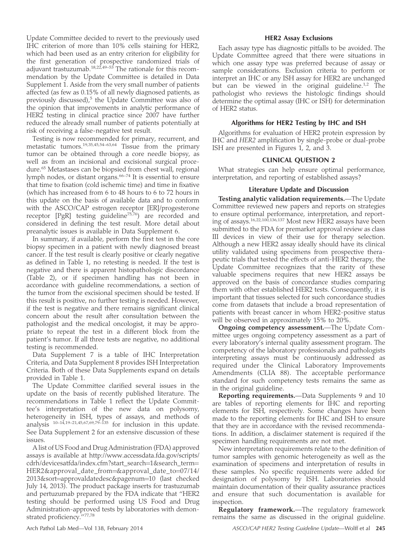Update Committee decided to revert to the previously used IHC criterion of more than 10% cells staining for HER2, which had been used as an entry criterion for eligibility for the first generation of prospective randomized trials of adjuvant trastuzumab.<sup>18,22,49–53</sup> The rationale for this recommendation by the Update Committee is detailed in Data Supplement 1. Aside from the very small number of patients affected (as few as 0.15% of all newly diagnosed patients, as previously discussed),<sup>5</sup> the Update Committee was also of the opinion that improvements in analytic performance of HER2 testing in clinical practice since 2007 have further reduced the already small number of patients potentially at risk of receiving a false-negative test result.

Testing is now recommended for primary, recurrent, and metastatic tumors.19,35,45,54–63,64 Tissue from the primary tumor can be obtained through a core needle biopsy, as well as from an incisional and excisional surgical procedure.<sup>65</sup> Metastases can be biopsied from chest wall, regional lymph nodes, or distant organs.<sup>66-74</sup> It is essential to ensure that time to fixation (cold ischemic time) and time in fixative (which has increased from 6 to 48 hours to 6 to 72 hours in this update on the basis of available data and to conform with the ASCO/CAP estrogen receptor [ER]/progesterone receptor [PgR] testing guideline<sup>75,76</sup>) are recorded and considered in defining the test result. More detail about preanalytic issues is available in Data Supplement 6.

In summary, if available, perform the first test in the core biopsy specimen in a patient with newly diagnosed breast cancer. If the test result is clearly positive or clearly negative as defined in Table 1, no retesting is needed. If the test is negative and there is apparent histopathologic discordance (Table 2), or if specimen handling has not been in accordance with guideline recommendations, a section of the tumor from the excisional specimen should be tested. If this result is positive, no further testing is needed. However, if the test is negative and there remains significant clinical concern about the result after consultation between the pathologist and the medical oncologist, it may be appropriate to repeat the test in a different block from the patient's tumor. If all three tests are negative, no additional testing is recommended.

Data Supplement 7 is a table of IHC Interpretation Criteria, and Data Supplement 8 provides ISH Interpretation Criteria. Both of these Data Supplements expand on details provided in Table 1.

The Update Committee clarified several issues in the update on the basis of recently published literature. The recommendations in Table 1 reflect the Update Committee's interpretation of the new data on polysomy, heterogeneity in ISH, types of assays, and methods of analysis  $10-14,19-21,45,67,69,79-135$  for inclusion in this update. See Data Supplement 2 for an extensive discussion of these issues.

A list of US Food and Drug Administration (FDA) approved assays is available at http://www.accessdata.fda.gov/scripts/ cdrh/devicesatfda/index.cfm?start\_search=1&search\_term= HER2&approval\_date\_from=&approval\_date\_to=07/14/ 2013&sort=approvaldatedesc&pagenum=10 (last checked July 14, 2013). The product package inserts for trastuzumab and pertuzumab prepared by the FDA indicate that ''HER2 testing should be performed using US Food and Drug Administration-approved tests by laboratories with demonstrated proficiency."77,78

#### HER2 Assay Exclusions

Each assay type has diagnostic pitfalls to be avoided. The Update Committee agreed that there were situations in which one assay type was preferred because of assay or sample considerations. Exclusion criteria to perform or interpret an IHC or any ISH assay for HER2 are unchanged but can be viewed in the original guideline. $1,2$  The pathologist who reviews the histologic findings should determine the optimal assay (IHC or ISH) for determination of HER2 status.

#### Algorithms for HER2 Testing by IHC and ISH

Algorithms for evaluation of HER2 protein expression by IHC and HER2 amplification by single-probe or dual-probe ISH are presented in Figures 1, 2, and 3.

#### CLINICAL QUESTION 2

What strategies can help ensure optimal performance, interpretation, and reporting of established assays?

#### Literature Update and Discussion

Testing analytic validation requirements.—The Update Committee reviewed new papers and reports on strategies to ensure optimal performance, interpretation, and reporting of assays.16,22,100,136,137 Most new HER2 assays have been submitted to the FDA for premarket approval review as class III devices in view of their use for therapy selection. Although a new HER2 assay ideally should have its clinical utility validated using specimens from prospective therapeutic trials that tested the effects of anti-HER2 therapy, the Update Committee recognizes that the rarity of these valuable specimens requires that new HER2 assays be approved on the basis of concordance studies comparing them with other established HER2 tests. Consequently, it is important that tissues selected for such concordance studies come from datasets that include a broad representation of patients with breast cancer in whom HER2-positive status will be observed in approximately 15% to 20%.

Ongoing competency assessment.—The Update Committee urges ongoing competency assessment as a part of every laboratory's internal quality assessment program. The competency of the laboratory professionals and pathologists interpreting assays must be continuously addressed as required under the Clinical Laboratory Improvements Amendments (CLIA 88). The acceptable performance standard for such competency tests remains the same as in the original guideline.

Reporting requirements.—Data Supplements 9 and 10 are tables of reporting elements for IHC and reporting elements for ISH, respectively. Some changes have been made to the reporting elements for IHC and ISH to ensure that they are in accordance with the revised recommendations. In addition, a disclaimer statement is required if the specimen handling requirements are not met.

New interpretation requirements relate to the definition of tumor samples with genomic heterogeneity as well as the examination of specimens and interpretation of results in these samples. No specific requirements were added for designation of polysomy by ISH. Laboratories should maintain documentation of their quality assurance practices and ensure that such documentation is available for inspection.

Regulatory framework.—The regulatory framework remains the same as discussed in the original guideline.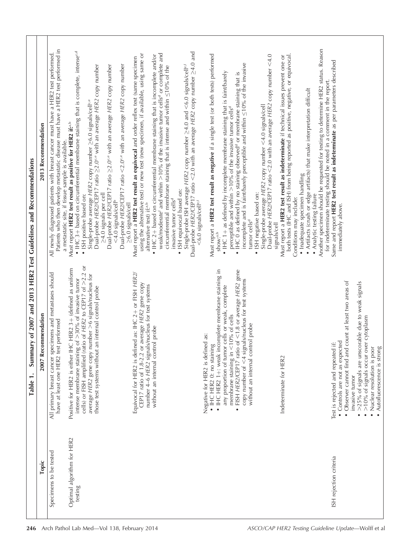| Topic                                 | Summary of 2007 and 2013 HER2 Test Guidelines and Recommendations<br>Recommendation<br>2007<br>Table 1.                                                                                                                                                                                              | 2013 Recommendation                                                                                                                                                                                                                                                                                                                                                                                                                                                                                                                                                                                                                                                 |
|---------------------------------------|------------------------------------------------------------------------------------------------------------------------------------------------------------------------------------------------------------------------------------------------------------------------------------------------------|---------------------------------------------------------------------------------------------------------------------------------------------------------------------------------------------------------------------------------------------------------------------------------------------------------------------------------------------------------------------------------------------------------------------------------------------------------------------------------------------------------------------------------------------------------------------------------------------------------------------------------------------------------------------|
| Specimens to be tested                | All primary breast cancer specimens and metastases should<br>have at least one HER2 test performed                                                                                                                                                                                                   | Patients who then develop metastatic disease must have a HER2 test performed in<br>All newly diagnosed patients with breast cancer must have a HER2 test performed                                                                                                                                                                                                                                                                                                                                                                                                                                                                                                  |
| Optimal algorithm for HER2<br>testing | cells) or FISH amplified (ratio of HER2 to CEP17 of >2.2 or<br>Positive for HER2 is either IHC HER2 3+ (defined as uniform<br>average HER2 gene copy number >6 signals/nucleus for<br>intense membrane staining of $>30\%$ of invasive tumor<br>those test systems without an internal control probe | • IHC 3+ based on circumferential membrane staining that is complete, intensecd<br>Dual-probe HER2/CEP17 ratio 22.0 <sup>c,e</sup> with an average HER2 copy number<br>Single-probe average HER2 copy number ≥6.0 signals/cell <sup>c.e</sup><br>Dual-probe HER2/CEP17 ratio ≥2.0 <sup>c.e</sup> with an average HER2 copy number<br>Must report HER2 test result as positive for HER2 if: <sup>a,b</sup><br>a metastatic site, if tissue sample is available.<br>24.0 signals per cell<br>• ISH positive based on:                                                                                                                                                 |
|                                       | defined as: IHC 2+ or FISH HER2/<br>CEP17 ratio of 1.8-2.2 or average HER2 gene copy<br>number 4-6 HER2 signals/nucleus for test systems<br>without an internal control probe<br>Equivocal for HER2 is                                                                                               | using the alternative test) or new test (new specimen, if available, using same or<br>weak/moderate <sup>f</sup> and within >10% of the invasive tumor cells <sup>d</sup> or complete and<br>$\bullet$ IHC 2+ based on circumferential membrane staining that is incomplete and/or<br>Must report a HER2 test result as equivocal and order reflex test (same specimen<br>Dual-probe HER2/CEP17 ratio <2.0 <sup>ce</sup> with an average HER2 copy number<br>circumferential membrane staining that is intense and within $\leq$ 10% of the<br>invasive tumor cells <sup>d</sup><br><4.0 signals/cellb<br>26.0 signals/cell<br>alternative test) if: <sup>a,b</sup> |
|                                       |                                                                                                                                                                                                                                                                                                      | Dual-probe HER2/CEP17 ratio <2.0 with an average HER2 copy number ≥4.0 and<br>Single-probe ISH average HER2 copy number $\geq$ 4.0 and <6.0 signals/celle/<br>• ISH equivocal based on:<br><6.0 signals/celle,f                                                                                                                                                                                                                                                                                                                                                                                                                                                     |
|                                       | • IHC HER2 1+: weak incomplete membrane staining in<br>any proportion of tumor cells or weak, complete<br>defined as:<br>• IHC HER2 0: no staining<br>Negative for HER2 is                                                                                                                           | Must report a HER2 test result as negative if a single test (or both tests) performed<br>• IHC 1+ as defined by incomplete membrane staining that is faint/barely<br>show:ab                                                                                                                                                                                                                                                                                                                                                                                                                                                                                        |
|                                       | ratio of $<$ 1.8 or average HER2 gene<br>copy number of <4 signals/nucleus for test systems<br>in $<$ 10% of cells<br>control probe<br>membrane staining<br>without an internal<br>FISH HER2/CEP17<br>$\bullet$                                                                                      | incomplete and is faint/barely perceptible and within $\leq$ 10% of the invasive<br>. HC 0 as defined by no staining observed or membrane staining that is<br>perceptible and within $>10\%$ of the invasive tumor cells <sup>d</sup><br>tumor cells <sup>d</sup>                                                                                                                                                                                                                                                                                                                                                                                                   |
|                                       | Indeterminate for HER2                                                                                                                                                                                                                                                                               | Dual-probe HER2/CEP17 ratio <2.0 with an average HER2 copy number <4.0<br>Must report a HER2 test result as indeterminate if technical issues prevent one or<br>Single-probe average $HER2$ copy number $\lt4.0$ signals/cell<br>• ISH negative based on:<br>signals/cell                                                                                                                                                                                                                                                                                                                                                                                           |
|                                       |                                                                                                                                                                                                                                                                                                      | Another specimen should be requested for testing to determine HER2 status. Reason<br>both tests (IHC and ISH) from being reported as positive, negative, or equivocal.<br>• Inadequate specimen handling<br>• Artifacts (crush or edge artifacts) that make interpretation difficult<br>• Analytic testing failure<br>Conditions may include:                                                                                                                                                                                                                                                                                                                       |
| ISH rejection criteria                | and count at least two areas of<br>• Controls are not as expected<br>Test is rejected and repeated if:<br>• Observer cannot find<br>invasive tumor                                                                                                                                                   | Same and report HER2 test result as indeterminate as per parameters described<br>for indeterminate testing should be noted in a comment in the report.<br>immediately above.                                                                                                                                                                                                                                                                                                                                                                                                                                                                                        |
|                                       | >25% of signals are unscorable due to weak signals<br>>10% of signals occur over cytoplasm<br>poor<br>Autofluorescence is strong<br>Nuclear resolution is<br>$\bullet$                                                                                                                               |                                                                                                                                                                                                                                                                                                                                                                                                                                                                                                                                                                                                                                                                     |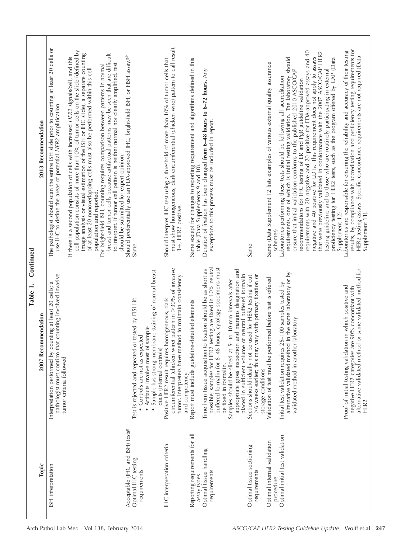|                       | 2013 Recommendation    | The pathologist should scan the entire ISH slide prior to counting at least 20 cells or<br>cell population consists of more than 10% of tumor cells on the slide (defined by<br>If there is a second population of cells with increased HER2 signals/cell, and this<br>use IHC to define the areas of potential HER2 amplification. | image analysis or visual estimation of the ISH or IHC slide), a separate counting<br>breast and tumor cells because artifactual patterns may be seen that are difficult<br>to interpret. If tumor cell pattern is neither normal nor clearly amplified, test<br>For bright-field ISH, counting requires comparison between patterns in normal<br>of at least 20 nonoverlapping cells must also be performed within this cell<br>should be submitted for expert opinion.<br>population and reported. | Should preferentially use an FDA-approved IHC, bright-field ISH, or FISH assay. <sup>g.h</sup><br>Same                                                                                                              | Should interpret IHC test using a threshold of more than 10% of tumor cells that<br>must show homogeneous, dark circumferential (chicken wire) pattern to call result<br>3+, HER2 positive. | Same except for changes to reporting requirement and algorithms defined in this<br>table (Data Supplements 9 and 10). | Duration of fixation has been changed from 6-48 hours to 6-72 hours. Any<br>exceptions to this process must be included in report.                                                                                                                                                                                                                                                                        | Same                                                                                                                                          | Same (Data Supplement 12 lists examples of various external quality assurance<br>schemes) | ensure that initial validation conforms to the published 2010 ASCO/CAP<br>recommendations for IHC testing of ER and PgR guideline validation<br>requirements with 20 negative and 20 positive for FDA-approved assays and 40<br>that were previously validated in conformance with the 2007 ASCO/CAP HER2<br>negative and 40 positive for LDTs. This requirement does not apply to assays<br>Laboratories performing these tests should be following all accreditation<br>requirements, one of which is initial testing validation. The laboratory should<br>proficiency testing for HER2 tests, such as the program offered by CAP (Data<br>testing guideline and to those who are routinely participating in external | results, by compliance with accreditation and proficiency testing requirements for<br>contractions are responsible for ensuring the reliability and accuracy of their testing<br>HER2 testing assays. Specific concordance requirements are not required (Data<br>Supplement 12).<br>Supplement 11). |
|-----------------------|------------------------|-------------------------------------------------------------------------------------------------------------------------------------------------------------------------------------------------------------------------------------------------------------------------------------------------------------------------------------|-----------------------------------------------------------------------------------------------------------------------------------------------------------------------------------------------------------------------------------------------------------------------------------------------------------------------------------------------------------------------------------------------------------------------------------------------------------------------------------------------------|---------------------------------------------------------------------------------------------------------------------------------------------------------------------------------------------------------------------|---------------------------------------------------------------------------------------------------------------------------------------------------------------------------------------------|-----------------------------------------------------------------------------------------------------------------------|-----------------------------------------------------------------------------------------------------------------------------------------------------------------------------------------------------------------------------------------------------------------------------------------------------------------------------------------------------------------------------------------------------------|-----------------------------------------------------------------------------------------------------------------------------------------------|-------------------------------------------------------------------------------------------|-------------------------------------------------------------------------------------------------------------------------------------------------------------------------------------------------------------------------------------------------------------------------------------------------------------------------------------------------------------------------------------------------------------------------------------------------------------------------------------------------------------------------------------------------------------------------------------------------------------------------------------------------------------------------------------------------------------------------|------------------------------------------------------------------------------------------------------------------------------------------------------------------------------------------------------------------------------------------------------------------------------------------------------|
| Continued<br>Table 1. | Recommendation<br>2007 | pathologist must confirm that counting involved invasive<br>Interpretation performed by counting at least 20 cells; a<br>tumor criteria followed                                                                                                                                                                                    |                                                                                                                                                                                                                                                                                                                                                                                                                                                                                                     | membrane staining of normal breast<br>Test is rejected and repeated or tested by FISH if:<br>Artifacts involve most of sample<br>• Controls are not as expected<br>ducts (internal controls)<br>· Sample has strong | circumferential (chicken wire) pattern in >30% of invasive<br>tumor. Interpreters have method to maintain consistency<br>Positive HER2 result requires homogeneous, dark<br>and competency  | Report must include guideline-detailed elements                                                                       | HER2 testing are fixed in 10% neutral<br>buffered formalin for 6-48 hours; cytology specimens must<br>appropriate gross inspection and margins designation and<br>placed in sufficient volume of neutral buffered formalin<br>Time from tissue acquisition to fixation should be as short as<br>Samples should be sliced at 5- to 10-mm intervals after<br>possible; samples for<br>be fixed in formalin. | >6 weeks earlier; this may vary with primary fixation or<br>Sections should ideally not be used for HER2 testing if cut<br>storage conditions | Validation of test must be performed before test is offered                               | alternative validated method in the same laboratory or by<br>Initial test validation requires 25-100 samples tested by<br>validated method in another laboratory                                                                                                                                                                                                                                                                                                                                                                                                                                                                                                                                                        | alternative validated method or same validated method for<br>Proof of initial testing validation in which positive and<br>negative HER2 categories are 90% concordant with<br>HER2                                                                                                                   |
|                       | Topic                  | ISH interpretation                                                                                                                                                                                                                                                                                                                  |                                                                                                                                                                                                                                                                                                                                                                                                                                                                                                     | Acceptable (IHC and ISH) tests <sup>8</sup><br>Optimal IHC testing<br>requirements                                                                                                                                  | IHC interpretation criteria                                                                                                                                                                 | Reporting requirements for all<br>assay types                                                                         | Optimal tissue handling<br>requirements                                                                                                                                                                                                                                                                                                                                                                   | Optimal tissue sectioning<br>requirements                                                                                                     | Optimal internal validation<br>procedure                                                  | Optimal initial test validation                                                                                                                                                                                                                                                                                                                                                                                                                                                                                                                                                                                                                                                                                         |                                                                                                                                                                                                                                                                                                      |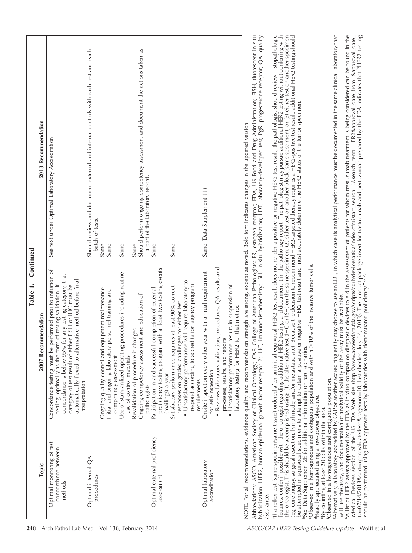|                                                                                                                                                                                                                                                               | Table 1.                                                                                                                                                                                                                                                                                                                  | Continued                                                                                                                                                                                                                                                                                                                                                                                                                                                                        |
|---------------------------------------------------------------------------------------------------------------------------------------------------------------------------------------------------------------------------------------------------------------|---------------------------------------------------------------------------------------------------------------------------------------------------------------------------------------------------------------------------------------------------------------------------------------------------------------------------|----------------------------------------------------------------------------------------------------------------------------------------------------------------------------------------------------------------------------------------------------------------------------------------------------------------------------------------------------------------------------------------------------------------------------------------------------------------------------------|
| Topic                                                                                                                                                                                                                                                         | 2007 Recommendation                                                                                                                                                                                                                                                                                                       | 2013 Recommendation                                                                                                                                                                                                                                                                                                                                                                                                                                                              |
| Optimal monitoring of test<br>concordance between<br>methods                                                                                                                                                                                                  | Concordance testing must be performed prior to initiation of<br>concordance is below 95% for any testing category, that<br>automatically flexed to alternative method before final<br>category of test result of either FISH or IHC must be<br>testing, optimally as the form of testing validation. If<br>interpretation | See text under Optimal Laboratory Accreditation.                                                                                                                                                                                                                                                                                                                                                                                                                                 |
| Optimal internal QA<br>procedures                                                                                                                                                                                                                             |                                                                                                                                                                                                                                                                                                                           | Should review and document external and internal controls with each test and each<br>batch of tests.                                                                                                                                                                                                                                                                                                                                                                             |
|                                                                                                                                                                                                                                                               | Ongoing quality control and equipment maintenance<br>Initial and ongoing laboratory personnel training and<br>competency assessment                                                                                                                                                                                       | Same<br>Same                                                                                                                                                                                                                                                                                                                                                                                                                                                                     |
|                                                                                                                                                                                                                                                               | Use of standardized operating procedures including routine<br>use of control materials                                                                                                                                                                                                                                    | Same                                                                                                                                                                                                                                                                                                                                                                                                                                                                             |
|                                                                                                                                                                                                                                                               | Ongoing competency assessment and education of<br>changed<br>Revalidation of procedure if<br>pathologists                                                                                                                                                                                                                 | Should perform ongoing competency assessment and document the actions taken as<br>a part of the laboratory record.<br>Same                                                                                                                                                                                                                                                                                                                                                       |
| Optimal external proficiency<br>assessment                                                                                                                                                                                                                    | proficiency testing program with at least two testing events<br>Participation in and successful completion of external<br>(mailings) a year                                                                                                                                                                               | Same                                                                                                                                                                                                                                                                                                                                                                                                                                                                             |
|                                                                                                                                                                                                                                                               | · Unsatisfactory performance will require laboratory to<br>respond according to accreditation agency program<br>Satisfactory performance requires at least 90% correct<br>responses on graded challenges for either test                                                                                                  | Same                                                                                                                                                                                                                                                                                                                                                                                                                                                                             |
| Optimal laboratory                                                                                                                                                                                                                                            | Onsite inspection every other year with annual requirement<br>requirements                                                                                                                                                                                                                                                | Same (Data Supplement 11)                                                                                                                                                                                                                                                                                                                                                                                                                                                        |
| accreditation                                                                                                                                                                                                                                                 | • Reviews laboratory validation, procedures, QA results and<br>for self-inspection                                                                                                                                                                                                                                        |                                                                                                                                                                                                                                                                                                                                                                                                                                                                                  |
|                                                                                                                                                                                                                                                               | • Unsatisfactory performance results in suspension of<br>laboratory testing for HER2 for that method<br>processes, results, and reports                                                                                                                                                                                   |                                                                                                                                                                                                                                                                                                                                                                                                                                                                                  |
|                                                                                                                                                                                                                                                               | NOTE. For all recommendations, evidence quality and recommendation strength are strong, except as noted. Bold font indicates changes in the updated version.                                                                                                                                                              |                                                                                                                                                                                                                                                                                                                                                                                                                                                                                  |
| assurance.                                                                                                                                                                                                                                                    |                                                                                                                                                                                                                                                                                                                           | Abbreviations: ASCO, American Society of Clinical Oncology; CAP, College of American Pathologists; ER, estrogen receptor; FDA, US Food and Drug Administration; FISH, fluorescent in situ<br>hybridization; HER2, human epidermal                                                                                                                                                                                                                                                |
| <sup>b</sup> See Data Supplement 2E for additional information on rare scenarios.<br>Observed in a homogeneous and contiguous population.<br><sup>d</sup> Readily appreciated using a low-power objective.<br>"By counting at least 20 cells within the area. | Cobserved in a homogeneous and contiguous population and within >10% of the invasive tumor cells.                                                                                                                                                                                                                         | <sup>a</sup> lf a reflex test (same specimen/same tissue) ordered after an initial equivocal HER2 test ne pative or negative HER2 test result, the pathologist should review histopathologic<br>features, confer if possible with the oncol<br>(eg, core biopsy, surgical resection, lymph node, and/or metastatic site). Because the decision to recommend HER2-targeted therapy requires a HER2-positive test result, additional HER2 testing should<br>be attempted in equivo |
|                                                                                                                                                                                                                                                               | will use the assay, and documentation of analytical validity of the assay must be available.                                                                                                                                                                                                                              | ANternatively, a laboratory accredited by CAP or another accrediting entity may choose to use an LDT, in which case its analytical performance must be documented in the same clinical laboratory that                                                                                                                                                                                                                                                                           |
|                                                                                                                                                                                                                                                               |                                                                                                                                                                                                                                                                                                                           | "A list of HER2 assays approved by the FDA as in vitro companion diagnostic devices to aid in the assessment of patients for whom trastuzumab treatment is being considered can be found in the<br>Medical Devices section of the                                                                                                                                                                                                                                                |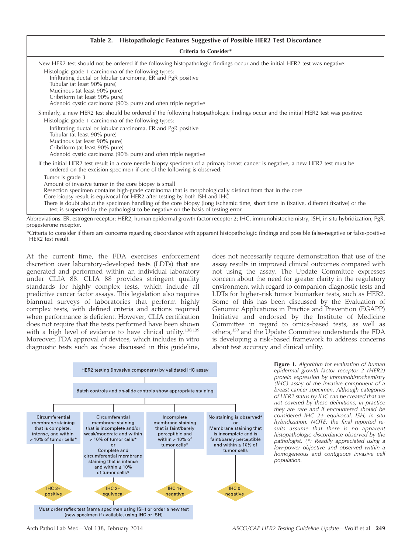| Histopathologic Features Suggestive of Possible HER2 Test Discordance<br>Table 2.                                                                                                                                                                                                                                                                                                                                                                                                                                                                                                                                                                                                                            |  |  |  |  |  |  |
|--------------------------------------------------------------------------------------------------------------------------------------------------------------------------------------------------------------------------------------------------------------------------------------------------------------------------------------------------------------------------------------------------------------------------------------------------------------------------------------------------------------------------------------------------------------------------------------------------------------------------------------------------------------------------------------------------------------|--|--|--|--|--|--|
| <b>Criteria to Consider*</b>                                                                                                                                                                                                                                                                                                                                                                                                                                                                                                                                                                                                                                                                                 |  |  |  |  |  |  |
| New HER2 test should not be ordered if the following histopathologic findings occur and the initial HER2 test was negative:<br>Histologic grade 1 carcinoma of the following types:<br>Infiltrating ductal or lobular carcinoma, ER and PgR positive<br>Tubular (at least 90% pure)<br>Mucinous (at least 90% pure)<br>Cribriform (at least 90% pure)<br>Adenoid cystic carcinoma (90% pure) and often triple negative                                                                                                                                                                                                                                                                                       |  |  |  |  |  |  |
| Similarly, a new HER2 test should be ordered if the following histopathologic findings occur and the initial HER2 test was positive:<br>Histologic grade 1 carcinoma of the following types:<br>Infiltrating ductal or lobular carcinoma, ER and PgR positive<br>Tubular (at least 90% pure)<br>Mucinous (at least 90% pure)<br>Cribriform (at least 90% pure)<br>Adenoid cystic carcinoma (90% pure) and often triple negative                                                                                                                                                                                                                                                                              |  |  |  |  |  |  |
| If the initial HER2 test result in a core needle biopsy specimen of a primary breast cancer is negative, a new HER2 test must be<br>ordered on the excision specimen if one of the following is observed:<br>Tumor is grade 3<br>Amount of invasive tumor in the core biopsy is small<br>Resection specimen contains high-grade carcinoma that is morphologically distinct from that in the core<br>Core biopsy result is equivocal for HER2 after testing by both ISH and IHC<br>There is doubt about the specimen handling of the core biopsy (long ischemic time, short time in fixative, different fixative) or the<br>test is suspected by the pathologist to be negative on the basis of testing error |  |  |  |  |  |  |
| Abbreviations: ER, estrogen receptor; HER2, human epidermal growth factor receptor 2; IHC, immunohistochemistry; ISH, in situ hybridization; PgR,<br>progesterone receptor.                                                                                                                                                                                                                                                                                                                                                                                                                                                                                                                                  |  |  |  |  |  |  |

\*Criteria to consider if there are concerns regarding discordance with apparent histopathologic findings and possible false-negative or false-positive HER2 test result.

At the current time, the FDA exercises enforcement discretion over laboratory-developed tests (LDTs) that are generated and performed within an individual laboratory under CLIA 88. CLIA 88 provides stringent quality standards for highly complex tests, which include all predictive cancer factor assays. This legislation also requires biannual surveys of laboratories that perform highly complex tests, with defined criteria and actions required when performance is deficient. However, CLIA certification does not require that the tests performed have been shown with a high level of evidence to have clinical utility.<sup>138,139</sup> Moreover, FDA approval of devices, which includes in vitro diagnostic tests such as those discussed in this guideline,

does not necessarily require demonstration that use of the assay results in improved clinical outcomes compared with not using the assay. The Update Committee expresses concern about the need for greater clarity in the regulatory environment with regard to companion diagnostic tests and LDTs for higher-risk tumor biomarker tests, such as HER2. Some of this has been discussed by the Evaluation of Genomic Applications in Practice and Prevention (EGAPP) Initiative and endorsed by the Institute of Medicine Committee in regard to omics-based tests, as well as others,<sup>139</sup> and the Update Committee understands the FDA is developing a risk-based framework to address concerns about test accuracy and clinical utility.



Figure 1. Algorithm for evaluation of human epidermal growth factor receptor 2 (HER2) protein expression by immunohistochemistry (IHC) assay of the invasive component of a breast cancer specimen. Although categories of HER2 status by IHC can be created that are not covered by these definitions, in practice they are rare and if encountered should be considered IHC  $2+$  equivocal. ISH, in situ hybridization. NOTE: the final reported results assume that there is no apparent histopathologic discordance observed by the pathologist. (\*) Readily appreciated using a low-power objective and observed within a homogeneous and contiguous invasive cell population.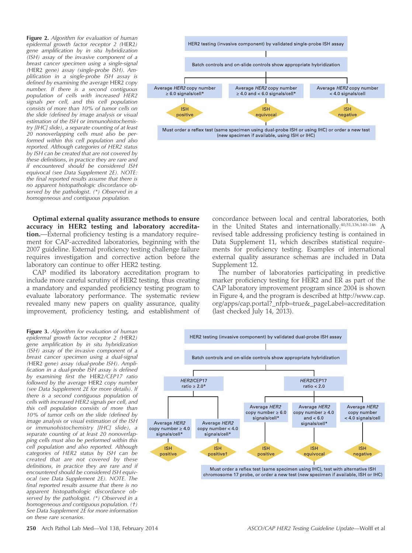Figure 2. Algorithm for evaluation of human epidermal growth factor receptor 2 (HER2) gene amplification by in situ hybridization  $(ISH)$  assay of the invasive component of a breast cancer specimen using a single-signal (HER2 gene) assay (single-probe ISH). Amplification in a single-probe ISH assay is defined by examining the average HER2 copy number. If there is a second contiguous population of cells with increased HER2 signals per cell, and this cell population consists of more than 10% of tumor cells on the slide (defined by image analysis or visual estimation of the ISH or immunohistochemistry [IHC] slide), a separate counting of at least 20 nonoverlapping cells must also be performed within this cell population and also reported. Although categories of HER2 status by ISH can be created that are not covered by these definitions, in practice they are rare and if encountered should be considered ISH equivocal (see Data Supplement 2E). NOTE: the final reported results assume that there is no apparent histopathologic discordance observed by the pathologist. (\*) Observed in a homogeneous and contiguous population.

Optimal external quality assurance methods to ensure accuracy in HER2 testing and laboratory accreditation.—External proficiency testing is a mandatory requirement for CAP-accredited laboratories, beginning with the 2007 guideline. External proficiency testing challenge failure requires investigation and corrective action before the laboratory can continue to offer HER2 testing.

CAP modified its laboratory accreditation program to include more careful scrutiny of HER2 testing, thus creating a mandatory and expanded proficiency testing program to evaluate laboratory performance. The systematic review revealed many new papers on quality assurance, quality improvement, proficiency testing, and establishment of

HER2 testing (invasive component) by validated single-probe ISH assay Batch controls and on-slide controls show appropriate hybridization Average HER2 copy number Average HER2 copy number Average HER2 copy number  $\geq 6.0$  signals/cell\*  $\geq 4.0$  and < 6.0 signals/cell\* < 4.0 signals/cell **ISH ISH ISH** equivocal positive negative Must order a reflex test (same specimen using dual-probe ISH or using IHC) or order a new test (new specimen if available, using ISH or IHC)

> concordance between local and central laboratories, both in the United States and internationally.40,51,136,140–146 A revised table addressing proficiency testing is contained in Data Supplement 11, which describes statistical requirements for proficiency testing. Examples of international external quality assurance schemas are included in Data Supplement 12.

> The number of laboratories participating in predictive marker proficiency testing for HER2 and ER as part of the CAP laboratory improvement program since 2004 is shown in Figure 4, and the program is described at http://www.cap. org/apps/cap.portal?\_nfpb=true&\_pageLabel=accreditation (last checked July 14, 2013).

Figure 3. Algorithm for evaluation of human epidermal growth factor receptor 2 (HER2) gene amplification by in situ hybridization (ISH) assay of the invasive component of a breast cancer specimen using a dual-signal (HER2 gene) assay (dual-probe ISH). Amplification in a dual-probe ISH assay is defined by examining first the HER2/CEP17 ratio followed by the average HER2 copy number (see Data Supplement 2E for more details). If there is a second contiguous population of cells with increased HER2 signals per cell, and this cell population consists of more than 10% of tumor cells on the slide (defined by image analysis or visual estimation of the ISH or immunohistochemistry [IHC] slide), a separate counting of at least 20 nonoverlapping cells must also be performed within this cell population and also reported. Although categories of HER2 status by ISH can be created that are not covered by these definitions, in practice they are rare and if encountered should be considered ISH equivocal (see Data Supplement 2E). NOTE. The final reported results assume that there is no apparent histopathologic discordance observed by the pathologist. (\*) Observed in a homogeneous and contiguous population. (†) See Data Supplement 2E for more information on these rare scenarios.

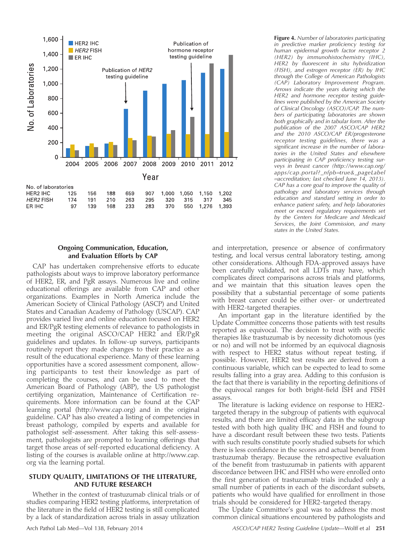

### Ongoing Communication, Education, and Evaluation Efforts by CAP

CAP has undertaken comprehensive efforts to educate pathologists about ways to improve laboratory performance of HER2, ER, and PgR assays. Numerous live and online educational offerings are available from CAP and other organizations. Examples in North America include the American Society of Clinical Pathology (ASCP) and United States and Canadian Academy of Pathology (USCAP). CAP provides varied live and online education focused on HER2 and ER/PgR testing elements of relevance to pathologists in meeting the original ASCO/CAP HER2 and ER/PgR guidelines and updates. In follow-up surveys, participants routinely report they made changes to their practice as a result of the educational experience. Many of these learning opportunities have a scored assessment component, allowing participants to test their knowledge as part of completing the courses, and can be used to meet the American Board of Pathology (ABP), the US pathologist certifying organization, Maintenance of Certification requirements. More information can be found at the CAP learning portal (http://www.cap.org) and in the original guideline. CAP has also created a listing of competencies in breast pathology, compiled by experts and available for pathologist self-assessment. After taking this self-assessment, pathologists are prompted to learning offerings that target those areas of self-reported educational deficiency. A listing of the courses is available online at http://www.cap. org via the learning portal.

#### STUDY QUALITY, LIMITATIONS OF THE LITERATURE, AND FUTURE RESEARCH

Whether in the context of trastuzumab clinical trials or of studies comparing HER2 testing platforms, interpretation of the literature in the field of HER2 testing is still complicated by a lack of standardization across trials in assay utilization

Figure 4. Number of laboratories participating in predictive marker proficiency testing for human epidermal growth factor receptor 2 (HER2) by immunohistochemistry (IHC), HER2 by fluorescent in situ hybridization (FISH), and estrogen receptor  $(\overline{ER})$  by IHC through the College of American Pathologists (CAP) Laboratory Improvement Program. Arrows indicate the years during which the HER2 and hormone receptor testing guidelines were published by the American Society of Clinical Oncology (ASCO)/CAP. The numbers of participating laboratories are shown both graphically and in tabular form. After the publication of the 2007 ASCO/CAP HER2 and the 2010 ASCO/CAP ER/progesterone receptor testing guidelines, there was a significant increase in the number of laboratories in the United States and elsewhere participating in CAP proficiency testing surveys in breast cancer (http://www.cap.org/ apps/cap.portal?\_nfpb=true&\_pageLabel  $\frac{1}{2}$ accreditation; last checked June 14, 2013). CAP has a core goal to improve the quality of pathology and laboratory services through education and standard setting in order to enhance patient safety, and help laboratories meet or exceed regulatory requirements set by the Centers for Medicare and Medicaid Services, the Joint Commission, and many states in the United States.

and interpretation, presence or absence of confirmatory testing, and local versus central laboratory testing, among other considerations. Although FDA-approved assays have been carefully validated, not all LDTs may have, which complicates direct comparisons across trials and platforms, and we maintain that this situation leaves open the possibility that a substantial percentage of some patients with breast cancer could be either over- or undertreated with HER2-targeted therapies.

An important gap in the literature identified by the Update Committee concerns those patients with test results reported as equivocal. The decision to treat with specific therapies like trastuzumab is by necessity dichotomous (yes or no) and will not be informed by an equivocal diagnosis with respect to HER2 status without repeat testing, if possible. However, HER2 test results are derived from a continuous variable, which can be expected to lead to some results falling into a gray area. Adding to this confusion is the fact that there is variability in the reporting definitions of the equivocal ranges for both bright-field ISH and FISH assays.

The literature is lacking evidence on response to HER2 targeted therapy in the subgroup of patients with equivocal results, and there are limited efficacy data in the subgroup tested with both high quality IHC and FISH and found to have a discordant result between these two tests. Patients with such results constitute poorly studied subsets for which there is less confidence in the scores and actual benefit from trastuzumab therapy. Because the retrospective evaluation of the benefit from trastuzumab in patients with apparent discordance between IHC and FISH who were enrolled onto the first generation of trastuzumab trials included only a small number of patients in each of the discordant subsets, patients who would have qualified for enrollment in those trials should be considered for HER2-targeted therapy.

The Update Committee's goal was to address the most common clinical situations encountered by pathologists and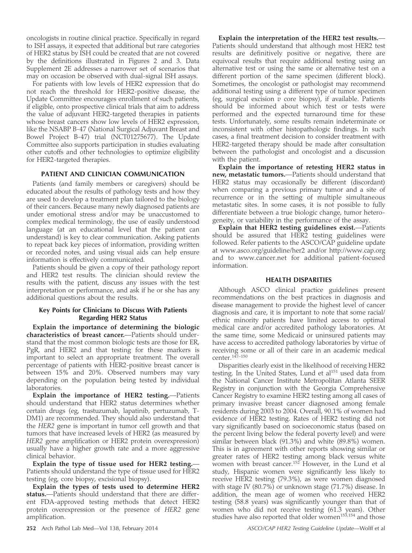oncologists in routine clinical practice. Specifically in regard to ISH assays, it expected that additional but rare categories of HER2 status by ISH could be created that are not covered by the definitions illustrated in Figures 2 and 3. Data Supplement 2E addresses a narrower set of scenarios that may on occasion be observed with dual-signal ISH assays.

For patients with low levels of HER2 expression that do not reach the threshold for HER2-positive disease, the Update Committee encourages enrollment of such patients, if eligible, onto prospective clinical trials that aim to address the value of adjuvant HER2-targeted therapies in patients whose breast cancers show low levels of HER2 expression, like the NSABP B-47 (National Surgical Adjuvant Breast and Bowel Project B-47) trial (NCT01275677). The Update Committee also supports participation in studies evaluating other cutoffs and other technologies to optimize eligibility for HER2-targeted therapies.

#### PATIENT AND CLINICIAN COMMUNICATION

Patients (and family members or caregivers) should be educated about the results of pathology tests and how they are used to develop a treatment plan tailored to the biology of their cancers. Because many newly diagnosed patients are under emotional stress and/or may be unaccustomed to complex medical terminology, the use of easily understood language (at an educational level that the patient can understand) is key to clear communication. Asking patients to repeat back key pieces of information, providing written or recorded notes, and using visual aids can help ensure information is effectively communicated.

Patients should be given a copy of their pathology report and HER2 test results. The clinician should review the results with the patient, discuss any issues with the test interpretation or performance, and ask if he or she has any additional questions about the results.

#### Key Points for Clinicians to Discuss With Patients Regarding HER2 Status

Explain the importance of determining the biologic characteristics of breast cancer.—Patients should understand that the most common biologic tests are those for ER, PgR, and HER2 and that testing for these markers is important to select an appropriate treatment. The overall percentage of patients with HER2-positive breast cancer is between 15% and 20%. Observed numbers may vary depending on the population being tested by individual laboratories.

Explain the importance of HER2 testing.—Patients should understand that HER2 status determines whether certain drugs (eg, trastuzumab, lapatinib, pertuzumab, T-DM1) are recommended. They should also understand that the HER2 gene is important in tumor cell growth and that tumors that have increased levels of HER2 (as measured by HER2 gene amplification or HER2 protein overexpression) usually have a higher growth rate and a more aggressive clinical behavior.

Explain the type of tissue used for HER2 testing.— Patients should understand the type of tissue used for HER2 testing (eg, core biopsy, excisional biopsy).

Explain the types of tests used to determine HER2 status.—Patients should understand that there are different FDA-approved testing methods that detect HER2 protein overexpression or the presence of HER2 gene amplification.

Explain the interpretation of the HER2 test results.— Patients should understand that although most HER2 test results are definitively positive or negative, there are equivocal results that require additional testing using an alternative test or using the same or alternative test on a different portion of the same specimen (different block). Sometimes, the oncologist or pathologist may recommend additional testing using a different type of tumor specimen (eg, surgical excision  $v$  core biopsy), if available. Patients should be informed about which test or tests were performed and the expected turnaround time for these tests. Unfortunately, some results remain indeterminate or inconsistent with other histopathologic findings. In such cases, a final treatment decision to consider treatment with HER2-targeted therapy should be made after consultation between the pathologist and oncologist and a discussion with the patient.

Explain the importance of retesting HER2 status in new, metastatic tumors.—Patients should understand that HER2 status may occasionally be different (discordant) when comparing a previous primary tumor and a site of recurrence or in the setting of multiple simultaneous metastatic sites. In some cases, it is not possible to fully differentiate between a true biologic change, tumor heterogeneity, or variability in the performance of the assay.

Explain that HER2 testing guidelines exist.—Patients should be assured that HER2 testing guidelines were followed. Refer patients to the ASCO/CAP guideline update at www.asco.org/guideline/her2 and/or http://www.cap.org and to www.cancer.net for additional patient-focused information.

#### HEALTH DISPARITIES

Although ASCO clinical practice guidelines present recommendations on the best practices in diagnosis and disease management to provide the highest level of cancer diagnosis and care, it is important to note that some racial/ ethnic minority patients have limited access to optimal medical care and/or accredited pathology laboratories. At the same time, some Medicaid or uninsured patients may have access to accredited pathology laboratories by virtue of receiving some or all of their care in an academic medical center.147–150

Disparities clearly exist in the likelihood of receiving HER2 testing. In the United States, Lund et al<sup>151</sup> used data from the National Cancer Institute Metropolitan Atlanta SEER Registry in conjunction with the Georgia Comprehensive Cancer Registry to examine HER2 testing among all cases of primary invasive breast cancer diagnosed among female residents during 2003 to 2004. Overall, 90.1% of women had evidence of HER2 testing. Rates of HER2 testing did not vary significantly based on socioeconomic status (based on the percent living below the federal poverty level) and were similar between black (91.3%) and white (89.8%) women. This is in agreement with other reports showing similar or greater rates of HER2 testing among black versus white women with breast cancer.<sup>152</sup> However, in the Lund et al study, Hispanic women were significantly less likely to receive HER2 testing (79.3%), as were women diagnosed with stage IV (80.7%) or unknown stage (71.7%) disease. In addition, the mean age of women who received HER2 testing (58.8 years) was significantly younger than that of women who did not receive testing (61.3 years). Other studies have also reported that older women<sup>155,154</sup> and those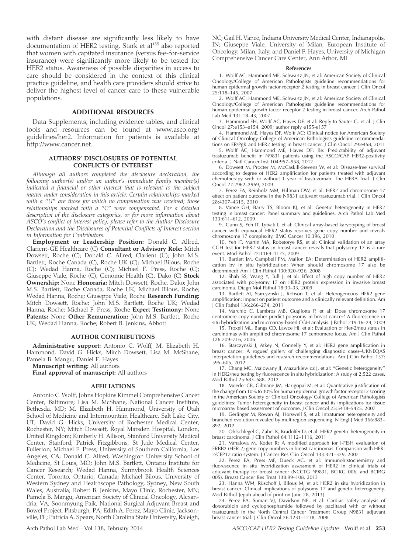with distant disease are significantly less likely to have documentation of HER2 testing. Stark et al<sup>155</sup> also reported that women with capitated insurance (versus fee-for-service insurance) were significantly more likely to be tested for HER2 status. Awareness of possible disparities in access to care should be considered in the context of this clinical practice guideline, and health care providers should strive to deliver the highest level of cancer care to these vulnerable populations.

#### ADDITIONAL RESOURCES

Data Supplements, including evidence tables, and clinical tools and resources can be found at www.asco.org/ guidelines/her2. Information for patients is available at http://www.cancer.net.

#### AUTHORS' DISCLOSURES OF POTENTIAL CONFLICTS OF INTEREST

Although all authors completed the disclosure declaration, the following author(s) and/or an author's immediate family member(s) indicated a financial or other interest that is relevant to the subject matter under consideration in this article. Certain relationships marked with a ''U'' are those for which no compensation was received; those relationships marked with a ''C'' were compensated. For a detailed description of the disclosure categories, or for more information about ASCO's conflict of interest policy, please refer to the Author Disclosure Declaration and the Disclosures of Potential Conflicts of Interest section in Information for Contributors.

Employment or Leadership Position: Donald C. Allred, Clarient-GE Healthcare (C) Consultant or Advisory Role: Mitch Dowsett, Roche (C); Donald C. Allred, Clarient (U); John M.S. Bartlett, Roche Canada (C), Roche UK (C); Michael Bilous, Roche (C); Wedad Hanna, Roche (C); Michael F. Press, Roche (C); Giuseppe Viale, Roche (C), Genomic Health (C), Dako (C) Stock Ownership: None Honoraria: Mitch Dowsett, Roche, Dako; John M.S. Bartlett, Roche Canada, Roche UK; Michael Bilous, Roche; Wedad Hanna, Roche; Giuseppe Viale, Roche Research Funding: Mitch Dowsett, Roche; John M.S. Bartlett, Roche UK; Wedad Hanna, Roche; Michael F. Press, Roche Expert Testimony: None Patents: None Other Remuneration: John M.S. Bartlett, Roche UK; Wedad Hanna, Roche; Robert B. Jenkins, Abbott.

#### AUTHOR CONTRIBUTIONS

Administrative support: Antonio C. Wolff, M. Elizabeth H. Hammond, David G. Hicks, Mitch Dowsett, Lisa M. McShane, Pamela B. Mangu, Daniel F. Hayes

Manuscript writing: All authors

Final approval of manuscript: All authors

#### AFFILIATIONS

Antonio C. Wolff, Johns Hopkins Kimmel Comprehensive Cancer Center, Baltimore; Lisa M. McShane, National Cancer Institute, Bethesda, MD; M. Elizabeth H. Hammond, University of Utah School of Medicine and Intermountain Healthcare, Salt Lake City, UT; David G. Hicks, University of Rochester Medical Center, Rochester, NY; Mitch Dowsett, Royal Marsden Hospital, London, United Kingdom; Kimberly H. Allison, Stanford University Medical Center, Stanford; Patrick Fitzgibbons, St Jude Medical Center, Fullerton; Michael F. Press, University of Southern California, Los Angeles, CA; Donald C. Allred, Washington University School of Medicine, St Louis, MO; John M.S. Bartlett, Ontario Institute for Cancer Research; Wedad Hanna, Sunnybrook Health Sciences Center, Toronto, Ontario, Canada; Michael Bilous, University of Western Sydney and Healthscope Pathology, Sydney, New South Wales, Australia; Robert B. Jenkins, Mayo Clinic, Rochester, MN; Pamela B. Mangu, American Society of Clinical Oncology, Alexandria, VA; Soonmyung Paik, National Surgical Adjuvant Breast and Bowel Project, Pitsburgh, PA; Edith A. Perez, Mayo Clinic, Jacksonville, FL; Patricia A. Spears, North Carolina State University, Raleigh,

NC; Gail H. Vance, Indiana University Medical Center, Indianapolis, IN; Giuseppe Viale, University of Milan, European Institute of Oncology, Milan, Italy; and Daniel F. Hayes, University of Michigan Comprehensive Cancer Care Center, Ann Arbor, MI.

#### References

1. Wolff AC, Hammond ME, Schwartz JN, et al: American Society of Clinical Oncology/College of American Pathologists guideline recommendations for human epidermal growth factor receptor  $\overline{2}$  testing in breast cancer. J Clin Oncol 25:118–145, 2007

2. Wolff AC, Hammond ME, Schwartz JN, et al: American Society of Clinical Oncology/College of American Pathologists guideline recommendations for human epidermal growth factor receptor 2 testing in breast cancer. Arch Pathol Lab Med 131:18–43, 2007

3. Hammond EH, Wolff AC, Hayes DF, et al: Reply to Sauter G. et al. J Clin Oncol 27:e153–e154, 2009; author reply e155-e157

4. Hammond ME, Hayes DF, Wolff AC: Clinical notice for American Society of Clinical Oncology-College of American Pathologists guideline recommendations on ER/PgR and HER2 testing in breast cancer. J Clin Oncol 29:e458, 2011

5. Wolff AC, Hammond ME, Hayes DF: Re: Predictability of adjuvant trastuzumab benefit in N9831 patients using the ASCO/CAP HER2-positivity criteria. J Natl Cancer Inst 104:957–958, 2012

6. Dowsett M, Procter M, McCaskill-Stevens W, et al: Disease-free survival according to degree of HER2 amplification for patients treated with adjuvant chemotherapy with or without 1 year of trastuzumab: The HERA Trial. J Clin Oncol 27:2962–2969, 2009

7. Perez EA, Reinholz MM, Hillman DW, et al: HER2 and chromosome 17 effect on patient outcome in the N9831 adjuvant trastuzumab trial. J Clin Oncol 28:4307–4315, 2010

8. Vance GH, Barry TS, Bloom KJ, et al: Genetic heterogeneity in HER2 testing in breast cancer: Panel summary and guidelines. Arch Pathol Lab Med 133:611–612, 2009

9. Gunn S, Yeh IT, Lytvak I, et al: Clinical array-based karyotyping of breast cancer with equivocal HER2 status resolves gene copy number and reveals chromosome 17 complexity. BMC Cancer 10:396, 2010

10. Yeh IT, Martin MA, Robetorye RS, et al: Clinical validation of an array CGH test for HER2 status in breast cancer reveals that polysomy 17 is a rare event. Mod Pathol 22:1169–1175, 2009

11. Bartlett JM, Campbell FM, Mallon EA: Determination of HER2 amplification by in situ hybridization: When should chromosome 17 also be determined? Am J Clin Pathol 130:920–926, 2008

12. Shah SS, Wang Y, Tull J, et al: Effect of high copy number of HER2 associated with polysomy 17 on HER2 protein expression in invasive breast carcinoma. Diagn Mol Pathol 18:30–33, 2009

13. Bartlett AI, Starcyznski J, Robson T, et al: Heterogeneous HER2 gene amplification: Impact on patient outcome and a clinically relevant definition. Am J Clin Pathol 136:266–274, 2011

14. Marchio C, Lambros MB, Gugliotta P, et al: Does chromosome 17 ` centromere copy number predict polysomy in breast cancer? A fluorescence in situ hybridization and microarray-based CGH analysis. J Pathol 219:16–24, 2009

15. Troxell ML, Bangs CD, Lawce HJ, et al: Evaluation of Her-2/neu status in carcinomas with amplified chromosome 17 centromere locus. Am J Clin Pathol 126:709–716, 2006

16. Starczynski J, Atkey N, Connelly Y, et al: HER2 gene amplification in breast cancer: A rogues' gallery of challenging diagnostic cases–UKNEQAS interpretation guidelines and research recommendations. Am J Clin Pathol 137: 595–605, 2012

17. Chang MC, Malowany JI, Mazurkiewicz J, et al: ''Genetic heterogeneity'' in HER2/neu testing by fluorescence in situ hybridization: A study of 2,522 cases. Mod Pathol 25:683–688, 2012

18. Moeder CB, Giltnane JM, Harigopal M, et al: Quantitative justification of the change from 10% to 30% for human epidermal growth factor receptor 2 scoring in the American Society of Clinical Oncology/ College of American Pathologists guidelines: Tumor heterogeneity in breast cancer and its implications for tissue microarray based assessment of outcome. J Clin Oncol 25:5418–5425, 2007

19. Gerlinger M, Rowan AJ, Horswell S, et al: Intratumor heterogeneity and branched evolution revealed by multiregion sequencing. N Engl J Med 366:883-892, 2012

20. Ohlschlegel C, Zahel K, Kradolfer D, et al: HER2 genetic heterogeneity in breast carcinoma. J Clin Pathol 64:1112–1116, 2011

21. Mrhalova M, Kodet R: A modified approach for I-FISH evaluation of ERBB2 (HER-2) gene copy numbers in breast carcinomas: Comparison with HER-2/CEP17 ratio system. J Cancer Res Clin Oncol 133:321–329, 2007

22. Perez EA, Press MF, Dueck AC, et al: Immunohistochemistry and fluorescence in situ hybridization assessment of HER2 in clinical trials of adjuvant therapy for breast cancer (NCCTG N9831, BCIRG 006, and BCIRG 005). Breast Cancer Res Treat 138:99–108, 2013

23. Hanna WM, Rüschoff J, Bilous M, et al: HER2 in situ hybridization in breast cancer: Clinical implications of polysomy 17 and genetic heterogeneity. Mod Pathol [epub ahead of print on June 28, 2013]

24. Perez EA, Suman VJ, Davidson NE, et al: Cardiac safety analysis of doxorubicin and cyclophosphamide followed by paclitaxel with or without trastuzumab in the North Central Cancer Treatment Group N9831 adjuvant breast cancer trial. J Clin Oncol 26:1231–1238, 2008

Arch Pathol Lab Med—Vol 138, February 2014 **ASCO/CAP HER2** Testing Guideline Update—Wolff et al 253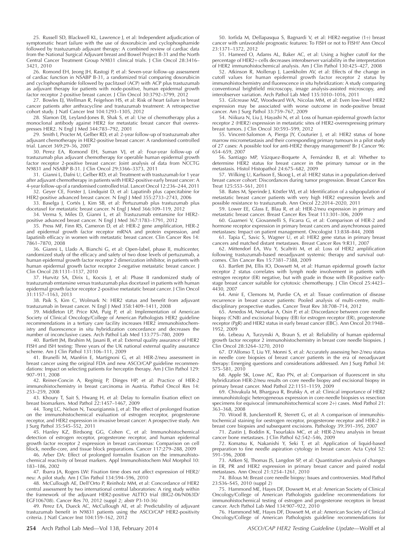25. Russell SD, Blackwell KL, Lawrence J, et al: Independent adjudication of symptomatic heart failure with the use of doxorubicin and cyclophosphamide followed by trastuzumab adjuvant therapy: A combined review of cardiac data from the National Surgical Adjuvant breast and Bowel Project B-31 and the North Central Cancer Treatment Group N9831 clinical trials. J Clin Oncol 28:3416– 3421, 2010

26. Romond EH, Jeong JH, Rastogi P, et al: Seven-year follow-up assessment of cardiac function in NSABP B-31, a randomized trial comparing doxorubicin and cyclophosphamide followed by paclitaxel (ACP) with ACP plus trastuzumab as adjuvant therapy for patients with node-positive, human epidermal growth factor receptor 2-positive breast cancer. J Clin Oncol 30:3792–3799, 2012

27. Bowles EJ, Wellman R, Feigelson HS, et al: Risk of heart failure in breast cancer patients after anthracycline and trastuzumab treatment: A retrospective cohort study. J Natl Cancer Inst 104:1293–1305, 2012

28. Slamon DJ, Leyland-Jones B, Shak S, et al: Use of chemotherapy plus a monoclonal antibody against HER2 for metastatic breast cancer that overexpresses HER2. N Engl J Med 344:783–792, 2001

29. Smith I, Procter M, Gelber RD, et al: 2-year follow-up of trastuzumab after adjuvant chemotherapy in HER2-positive breast cancer: A randomised controlled trial. Lancet 369:29–36, 2007

30. Perez EA, Romond EH, Suman VJ, et al: Four-year follow-up of trastuzumab plus adjuvant chemotherapy for operable human epidermal growth factor receptor 2-positive breast cancer: Joint analysis of data from NCCTG N9831 and NSABP B-31. J Clin Oncol 29:3366–3373, 2011

31. Gianni L, Dafni U, Gelber RD, et al: Treatment with trastuzumab for 1 year after adjuvant chemotherapy in patients with HER2-positive early breast cancer: A 4-year follow-up of a randomised controlled trial. Lancet Oncol 12:236–244, 2011

32. Geyer CE, Forster J, Lindquist D, et al: Lapatinib plus capecitabine for HER2-positive advanced breast cancer. N Engl J Med 355:2733–2743, 2006

33. Baselga J, Cortés J, Kim SB, et al: Pertuzumab plus trastuzumab plus docetaxel for metastatic breast cancer. N Engl J Med 366:109–119, 2012

34. Verma S, Miles D, Gianni L, et al: Trastuzumab emtansine for HER2 positive advanced breast cancer. N Engl J Med 367:1783–1791, 2012

35. Press MF, Finn RS, Cameron D, et al: HER-2 gene amplification, HER-2 and epidermal growth factor receptor mRNA and protein expression, and lapatinib efficacy in women with metastatic breast cancer. Clin Cancer Res 14: 7861–7870, 2008

36. Gianni L, Llado A, Bianchi G, et al: Open-label, phase II, multicenter, randomized study of the efficacy and safety of two dose levels of pertuzumab, a human epidermal growth factor receptor 2 dimerization inhibitor, in patients with human epidermal growth factor receptor 2-negative metastatic breast cancer. J Clin Oncol 28:1131–1137, 2010

37. Hurvitz SA, Dirix L, Kocsis J, et al: Phase II randomized study of trastuzumab emtansine versus trastuzumab plus docetaxel in patients with human epidermal growth factor receptor 2-positive metastatic breast cancer. J Clin Oncol 31:1157–1163, 2013

38. Paik S, Kim C, Wolmark N: HER2 status and benefit from adjuvant trastuzumab in breast cancer. N Engl J Med 358:1409–1411, 2008

39. Middleton LP, Price KM, Puig P, et al: Implementation of American Society of Clinical Oncology/College of American Pathologists HER2 guideline recommendations in a tertiary care facility increases HER2 immunohistochemistry and fluorescence in situ hybridization concordance and decreases the number of inconclusive cases. Arch Pathol Lab Med 133:775–780, 2009

40. Bartlett JM, Ibrahim M, Jasani B, et al: External quality assurance of HER2 FISH and ISH testing: Three years of the UK national external quality assurance scheme. Am J Clin Pathol 131:106–111, 2009

41. Brunelli M, Manfrin E, Martignoni G, et al: HER-2/neu assessment in breast cancer using the original FDA and new ASCO/CAP guideline recommendations: Impact on selecting patients for herceptin therapy. Am J Clin Pathol 129: 907–911, 2008

42. Reiner-Concin A, Regitnig P, Dinges HP, et al: Practice of HER-2 immunohistochemistry in breast carcinoma in Austria. Pathol Oncol Res 14: 253–259, 2008

43. Khoury T, Sait S, Hwang H, et al: Delay to formalin fixation effect on breast biomarkers. Mod Pathol 22:1457–1467, 2009

44. Tong LC, Nelson N, Tsourigiannis J, et al: The effect of prolonged fixation on the immunohistochemical evaluation of estrogen receptor, progesterone receptor, and HER2 expression in invasive breast cancer: A prospective study. Am J Surg Pathol 35:545–552, 2011

45. Hanley KZ, Birdsong GG, Cohen C, et al: Immunohistochemical detection of estrogen receptor, progesterone receptor, and human epidermal growth factor receptor 2 expression in breast carcinomas: Comparison on cell block, needle-core, and tissue block preparations. Cancer 117:279–288, 2009

46. Arber DA: Effect of prolonged formalin fixation on the immunohistochemical reactivity of breast markers. Appl Immunohistochem Mol Morphol 10: 183–186, 2002

47. Ibarra JA, Rogers LW: Fixation time does not affect expression of HER2/ neu: A pilot study. Am J Clin Pathol 134:594–596, 2010

48. McCullough AE, Dell'Orto P, Reinholz MM, et al: Concordance of HER2 central assessment by two international central laboratories: A ring study within the framework of the adjuvant HER2-positive ALTTO trial (BIG2-06/N063D/ EGF106708). Cancer Res 70, 2012 (suppl 2; abstr P3-10-36)

49. Perez EA, Dueck AC, McCullough AE, et al: Predictability of adjuvant trastuzumab benefit in N9831 patients using the ASCO/CAP HER2-positivity criteria. J Natl Cancer Inst 104:159–162, 2012

50. Iorfida M, Dellapasqua S, Bagnardi V, et al: HER2-negative (1+) breast cancer with unfavorable prognostic features: To FISH or not to FISH? Ann Oncol 23:1371–1372, 2012

51. Hameed O, Adams AL, Baker AC, et al: Using a higher cutoff for the percentage of HER2+ cells decreases interobserver variability in the interpretation of HER2 immunohistochemical analysis. Am J Clin Pathol 130:425–427, 2008

52. Atkinson R, Mollerup J, Laenkholm AV, et al: Effects of the change in cutoff values for human epidermal growth factor receptor 2 status by immunohistochemistry and fluorescence in situ hybridization: A study comparing conventional brightfield microscopy, image analysis-assisted microscopy, and interobserver variation. Arch Pathol Lab Med 135:1010–1016, 2011

53. Gilcrease MZ, Woodward WA, Nicolas MM, et al: Even low-level HER2 expression may be associated with worse outcome in node-positive breast cancer. Am J Surg Pathol 33:759–767, 2009

54. Niikura N, Liu J, Hayashi N, et al: Loss of human epidermal growth factor receptor 2 (HER2) expression in metastatic sites of HER2-overexpressing primary breast tumors. J Clin Oncol 30:593–599, 2012

55. Vincent-Salomon A, Pierga JY, Couturier J, et al: HER2 status of bone marrow micrometastasis and their corresponding primary tumours in a pilot study of 27 cases: A possible tool for anti-HER2 therapy management? Br J Cancer 96: 654–659, 2007

56. Santiago MP, Vázquez-Boquete A, Fernández B, et al: Whether to determine HER2 status for breast cancer in the primary tumour or in the metastasis. Histol Histopathol 24:675–682, 2009

57. Wilking U, Karlsson E, Skoog L, et al: HER2 status in a population-derived breast cancer cohort: Discordances during tumor progression. Breast Cancer Res Treat 125:553–561, 2011

58. Bates M, Sperinde J, Köstler WJ, et al: Identification of a subpopulation of metastatic breast cancer patients with very high HER2 expression levels and possible resistance to trastuzumab. Ann Oncol 22:2014–2020, 2011

59. Lower EE, Glass E, Blau R, et al: HER-2/neu expression in primary and metastatic breast cancer. Breast Cancer Res Treat 113:301–306, 2009

60. Guarneri V, Giovannelli S, Ficarra G, et al: Comparison of HER-2 and hormone receptor expression in primary breast cancers and asynchronous paired metastases: Impact on patient management. Oncologist 13:838–844, 2008

61. Tapia C, Savic S, Wagner U, et al: HER2 gene status in primary breast cancers and matched distant metastases. Breast Cancer Res 9:R31, 2007

62. Mittendorf EA, Wu Y, Scaltriti M, et al: Loss of HER2 amplification following trastuzumab-based neoadjuvant systemic therapy and survival outcomes. Clin Cancer Res 15:7381–7388, 2009

63. Bartlett JM, Ellis IO, Dowsett M, et al: Human epidermal growth factor receptor 2 status correlates with lymph node involvement in patients with estrogen receptor (ER) negative, but with grade in those with ER-positive earlystage breast cancer suitable for cytotoxic chemotherapy. J Clin Oncol 25:4423– 4430, 2007

64. Amir E, Clemons M, Purdie CA, et al: Tissue confirmation of disease recurrence in breast cancer patients: Pooled analysis of multi-centre, multidisciplinary prospective studies. Cancer Treat Rev 38:708–714, 2012

65. Arnedos M, Nerurkar A, Osin P, et al: Discordance between core needle biopsy (CNB) and excisional biopsy (EB) for estrogen receptor (ER), progesterone receptor (PgR) and HER2 status in early breast cancer (EBC). Ann Oncol 20:1948– 1952, 2009

66. Lebeau A, Turzynski A, Braun S, et al: Reliability of human epidermal growth factor receptor 2 immunohistochemistry in breast core needle biopsies. J Clin Oncol 28:3264–3270, 2010

67. D'Alfonso T, Liu YF, Monni S, et al: Accurately assessing her-2/neu status in needle core biopsies of breast cancer patients in the era of neoadjuvant therapy: Emerging questions and considerations addressed. Am J Surg Pathol 34: 575–581, 2010

68. Apple SK, Lowe AC, Rao PN, et al: Comparison of fluorescent in situ hybridization HER-2/neu results on core needle biopsy and excisional biopsy in primary breast cancer. Mod Pathol 22:1151–1159, 2009

69. Chivukula M, Bhargava R, Brufsky A, et al: Clinical importance of HER2 immunohistologic heterogeneous expression in core-needle biopsies vs resection specimens for equivocal (immunohistochemical score 2+) cases. Mod Pathol 21: 363–368, 2008

70. Wood B, Junckerstorff R, Sterrett G, et al: A comparison of immunohistochemical staining for oestrogen receptor, progesterone receptor and HER-2 in breast core biopsies and subsequent excisions. Pathology 39:391–395, 2007

71. Zustin J, Boddin K, Tsourlakis MC, et al: HER-2/neu analysis in breast cancer bone metastases. J Clin Pathol 62:542–546, 2009

72. Komatsu K, Nakanishi Y, Seki T, et al: Application of liquid-based preparation to fine needle aspiration cytology in breast cancer. Acta Cytol 52: 591–596, 2008

73. Aitken SJ, Thomas JS, Langdon SP, et al: Quantitative analysis of changes in ER, PR and HER2 expression in primary breast cancer and paired nodal metastases. Ann Oncol 21:1254–1261, 2010

74. Bilous M: Breast core needle biopsy: Issues and controversies. Mod Pathol 23:S36–S45, 2010 (suppl 2)

75. Hammond ME, Hayes DF, Dowsett M, et al: American Society of Clinical Oncology/College of American Pathologists guideline recommendations for immunohistochemical testing of estrogen and progesterone receptors in breast cancer. Arch Pathol Lab Med 134:907–922, 2010

76. Hammond ME, Hayes DF, Dowsett M, et al: American Society of Clinical Oncology/College of American Pathologists guideline recommendations for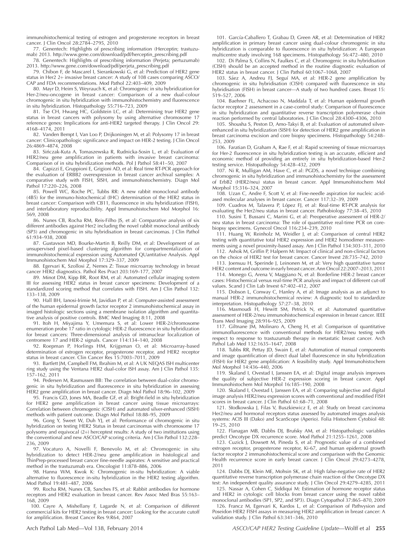immunohistochemical testing of estrogen and progesterone receptors in breast cancer. J Clin Oncol 28:2784–2795, 2010

77. Genentech: Highlights of prescribing information (Herceptin; trastuzumab) 2013. http://www.gene.com/download/pdf/herceptin\_prescribing.pdf

78. Genentech: Highlights of prescribing information (Perjeta; pertuzumab) 2013. http://www.gene.com/download/pdf/perjeta\_prescribing.pdf

79. Chibon F, de Mascarel I, Sierankowski G, et al: Prediction of HER2 gene status in Her2 2+ invasive breast cancer: A study of 108 cases comparing ASCO/ CAP and FDA recommendations. Mod Pathol 22:403–409, 2009

80. Mayr D, Heim S, Weyrauch K, et al: Chromogenic in situ hybridization for Her-2/neu-oncogene in breast cancer: Comparison of a new dual-colour chromogenic in situ hybridization with immunohistochemistry and fluorescence in situ hybridization. Histopathology 55:716–723, 2009

81. Tse CH, Hwang HC, Goldstein LC, et al: Determining true HER2 gene status in breast cancers with polysomy by using alternative chromosome reference genes: Implications for anti-HER2 targeted therapy. J Clin Oncol 29: 4168–4174, 2011

82. Vanden Bempt I, Van Loo P, Drijkoningen M, et al: Polysomy 17 in breast cancer: Clinicopathologic significance and impact on HER-2 testing. J Clin Oncol 26:4869–4874, 2008

83. Sińczak-Kuta A, Tomaszewska R, Rudnicka-Sosin L, et al: Evaluation of HER2/neu gene amplification in patients with invasive breast carcinoma: Comparison of in situ hybridization methods. Pol J Pathol 58:41–50, 2007

84. Capizzi E, Gruppioni E, Grigioni AD, et al: Real time RT-PCR approach for the evaluation of ERBB2 overexpression in breast cancer archival samples: A comparative study with FISH, SISH, and immunohistochemistry. Diagn Mol Pathol 17:220–226, 2008

85. Powell WC, Roche PC, Tubbs RR: A new rabbit monoclonal antibody (4B5) for the immuno-histochemical (IHC) determination of the HER2 status in breast cancer: Comparison with CB11, fluorescence in situ hybridization (FISH), and interlaboratory reproducibility. Appl Immunohistochem Mol Morphol 16: 569, 2008

86. Nunes CB, Rocha RM, Reis-Filho JS, et al: Comparative analysis of six different antibodies against Her2 including the novel rabbit monoclonal antibody (SP3) and chromogenic in situ hybridisation in breast carcinomas. J Clin Pathol 61:934–938, 2008

87. Gustavson MD, Bourke-Martin B, Reilly DM, et al: Development of an unsupervised pixel-based clustering algorithm for compartmentalization of immunohistochemical expression using Automated QUantitative Analysis. Appl Immunohistochem Mol Morphol 17:329–337, 2009

88. Egervari K, Szollosi Z, Nemes Z: Tissue microarray technology in breast cancer HER2 diagnostics. Pathol Res Pract 203:169–177, 2007

89. Minot DM, Kipp BR, Root RM, et al: Automated cellular imaging system III for assessing HER2 status in breast cancer specimens: Development of a standardized scoring method that correlates with FISH. Am J Clin Pathol 132: 133–138, 2009

90. Hall BH, Ianosi-Irimie M, Javidian P, et al: Computer-assisted assessment of the human epidermal growth factor receptor 2 immunohistochemical assay in imaged histologic sections using a membrane isolation algorithm and quantitative analysis of positive controls. BMC Med Imaging 8:11, 2008

91. Itoh H, Miyajima Y, Umemura S, et al: Lower HER-2/chromosome enumeration probe 17 ratio in cytologic HER-2 fluorescence in situ hybridization for breast cancers: Three-dimensional analysis of intranuclear localization of centromere 17 and HER-2 signals. Cancer 114:134–140, 2008

92. Roepman P, Horlings HM, Krijgsman O, et al: Microarray-based determination of estrogen receptor, progesterone receptor, and HER2 receptor status in breast cancer. Clin Cancer Res 15:7003–7011, 2009

93. Bartlett JM, Campbell FM, Ibrahim M, et al: A UK NEQAS ISH multicenter ring study using the Ventana HER2 dual-color ISH assay. Am J Clin Pathol 135: 157–162, 2011

94. Pedersen M, Rasmussen BB: The correlation between dual-color chromogenic in situ hybridization and fluorescence in situ hybridization in assessing HER2 gene amplification in breast cancer. Diagn Mol Pathol 18:96–102, 2009

95. Francis GD, Jones MA, Beadle GF, et al: Bright-field in situ hybridization for HER2 gene amplification in breast cancer using tissue microarrays: Correlation between chromogenic (CISH) and automated silver-enhanced (SISH) methods with patient outcome. Diagn Mol Pathol 18:88–95, 2009

96. Gong Y, Sweet W, Duh YJ, et al: Performance of chromogenic in situ hybridization on testing HER2 Status in breast carcinomas with chromosome 17 polysomy and equivocal (2+) herceptest results: A study of two institutions using the conventional and new ASCO/CAP scoring criteria. Am J Clin Pathol 132:228– 236, 2009

97. Vocaturo A, Novelli F, Benevolo M, et al: Chromogenic in situ hybridization to detect HER-2/neu gene amplification in histological and ThinPrep-processed breast cancer fine-needle aspirates: A sensitive and practical method in the trastuzumab era. Oncologist 11:878–886, 2006

98. Hanna WM, Kwok K: Chromogenic in-situ hybridization: A viable alternative to fluorescence in-situ hybridization in the HER2 testing algorithm. Mod Pathol 19:481–487, 2006

99. Rocha RM, Nunes CB, Sanches FS, et al: Rabbit antibodies for hormone receptors and HER2 evaluation in breast cancer. Rev Assoc Med Bras 55:163– 168, 2009

100. Cayre A, Mishellany F, Lagarde N, et al: Comparison of different commercial kits for HER2 testing in breast cancer: Looking for the accurate cutoff for amplification. Breast Cancer Res 9:R64, 2007

101. García-Caballero T, Grabau D, Green AR, et al: Determination of HER2 amplification in primary breast cancer using dual-colour chromogenic in situ hybridization is comparable to fluorescence in situ hybridization: A European multicentre study involving 168 specimens. Histopathology 56:472–480, 2010

102. Di Palma S, Collins N, Faulkes C, et al: Chromogenic in situ hybridisation (CISH) should be an accepted method in the routine diagnostic evaluation of HER2 status in breast cancer. J Clin Pathol 60:1067–1068, 2007

103. Sáez A, Andreu FJ, Seguí MA, et al: HER-2 gene amplification by chromogenic in situ hybridisation (CISH) compared with fluorescence in situ hybridisation (FISH) in breast cancer—A study of two hundred cases. Breast 15: 519–527, 2006

104. Baehner FL, Achacoso N, Maddala T, et al: Human epidermal growth factor receptor 2 assessment in a case-control study: Comparison of fluorescence in situ hybridization and quantitative reverse transcription polymerase chain reaction performed by central laboratories. J Clin Oncol 28:4300–4306, 2010

105. Shousha S, Peston D, Amo-Takyi B, et al: Evaluation of automated silverenhanced in situ hybridization (SISH) for detection of HER2 gene amplification in breast carcinoma excision and core biopsy specimens. Histopathology 54:248– 253, 2009

106. Faratian D, Graham A, Rae F, et al: Rapid screening of tissue microarrays for Her-2 fluorescence in situ hybridization testing is an accurate, efficient and economic method of providing an entirely in situ hybridization-based Her-2 testing service. Histopathology 54:428–432, 2009

107. Ni R, Mulligan AM, Have C, et al: PGDS, a novel technique combining chromogenic in situ hybridization and immunohistochemistry for the assessment of ErbB2 (HER2/neu) status in breast cancer. Appl Immunohistochem Mol Morphol 15:316–324, 2007

108. Uzan C, Andre F, Scott V, et al: Fine-needle aspiration for nucleic acidased molecular analyses in breast cancer. Cancer 117:32–39, 2009

109. Cuadros M, Talavera P, López FJ, et al: Real-time RT-PCR analysis for evaluating the Her2/neu status in breast cancer. Pathobiology 77:38–45, 2010

110. Susini T, Bussani C, Marini G, et al: Preoperative assessment of HER-2/ neu status in breast carcinoma: The role of quantitative real-time PCR on corebiopsy specimens. Gynecol Oncol 116:234–239, 2010

111. Huang W, Reinholz M, Weidler J, et al: Comparison of central HER2 testing with quantitative total HER2 expression and HER2 homodimer measurements using a novel proximity-based assay. Am J Clin Pathol 134:303–311, 2010

112. Ashok M, Griffin P, Halpern M: Impact of clinical and non-clinical factors on the choice of HER2 test for breast cancer. Cancer Invest 28:735–742, 2010

113. Joensuu H, Sperinde J, Leinonen M, et al: Very high quantitative tumor HER2 content and outcome in early breast cancer. Ann Oncol 22:2007–2013, 2011

114. Monego G, Arena V, Maggiano N, et al: Borderline HER-2 breast cancer cases: Histochemical versus real-time PCR analysis and impact of different cut-off values. Scand J Clin Lab Invest 67:402-412, 2007

115. Dobson L, Conway C, Hanley A, et al: Image analysis as an adjunct to manual HER-2 immunohistochemical review: A diagnostic tool to standardize interpretation. Histopathology 57:27–38, 2010

116. Masmoudi H, Hewitt SM, Petrick N, et al: Automated quantitative assessment of HER-2/neu immunohistochemical expression in breast cancer. IEEE Trans Med Imaging 28:916–925, 2009

117. Giltnane JM, Molinaro A, Cheng H, et al: Comparison of quantitative immunofluorescence with conventional methods for HER2/neu testing with respect to response to trastuzumab therapy in metastatic breast cancer. Arch Pathol Lab Med 132:1635–1647, 2008

118. Tubbs RR, Pettay JD, Swain E, et al: Automation of manual components and image quantification of direct dual label fluorescence in situ hybridization (FISH) for HER2 gene amplification: A feasibility study. Appl Immunohistochem Mol Morphol 14:436–440, 2006

119. Skaland I, Ovestad I, Janssen EA, et al: Digital image analysis improves the quality of subjective HER-2 expression scoring in breast cancer. Appl Immunohistochem Mol Morphol 16:185–190, 2008

120. Skaland I, Ovestad I, Janssen EA, et al: Comparing subjective and digital image analysis HER2/neu expression scores with conventional and modified FISH scores in breast cancer. J Clin Pathol 61:68–71, 2008

121. Słodkowska J, Filas V, Buszkiewicz E, et al: Study on breast carcinoma Her2/neu and hormonal receptors status assessed by automated images analysis systems: ACIS III (Dako) and ScanScope (Aperio). Folia Histochem Cytobiol 48: 19–25, 2010

122. Flanagan MB, Dabbs DJ, Brufsky AM, et al: Histopathologic variables predict Oncotype DX recurrence score. Mod Pathol 21:1255–1261, 2008

123. Cuzick J, Dowsett M, Pineda S, et al: Prognostic value of a combined estrogen receptor, progesterone receptor, Ki-67, and human epidermal growth factor receptor 2 immunohistochemical score and comparison with the Genomic Health recurrence score in early breast cancer. J Clin Oncol 29:4273–4278, 2011

124. Dabbs DJ, Klein ME, Mohsin SK, et al: High false-negative rate of HER2 quantitative reverse transcription polymerase chain reaction of the Oncotype DX test: An independent quality assurance study. J Clin Oncol 29:4279–4285, 2011

125. Nassar A, Cohen C, Siddiqui M: Estimation of hormone receptor status and HER2 in cytologic cell blocks from breast cancer using the novel rabbit monoclonal antibodies (SP1, SP2, and SP3). Diagn Cytopathol 37:865–870, 2009 126. Francz M, Egervari K, Kardos L, et al: Comparison of Pathvysion and Poseidon HER2 FISH assays in measuring HER2 amplification in breast cancer: A validation study. J Clin Pathol 63:341-346, 2010